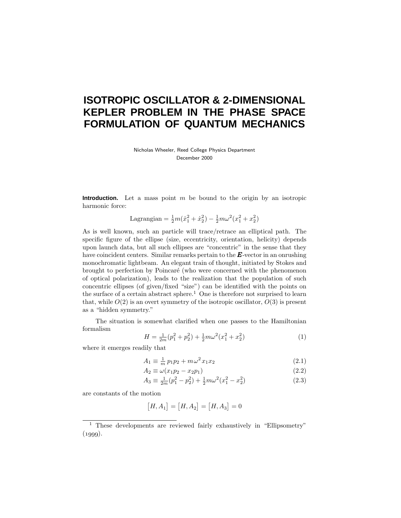# **ISOTROPIC OSCILLATOR & 2-DIMENSIONAL KEPLER PROBLEM IN THE PHASE SPACE FORMULATION OF QUANTUM MECHANICS**

Nicholas Wheeler, Reed College Physics Department December 2000

**Introduction.** Let a mass point *m* be bound to the origin by an isotropic harmonic force:

Lagrangian = 
$$
\frac{1}{2}m(\dot{x}_1^2 + \dot{x}_2^2) - \frac{1}{2}m\omega^2(x_1^2 + x_2^2)
$$

As is well known, such an particle will trace/retrace an elliptical path. The specific figure of the ellipse (size, eccentricity, orientation, helicity) depends upon launch data, but all such ellipses are "concentric" in the sense that they have coincident centers. Similar remarks pertain to the *E*-vector in an onrushing monochromatic lightbeam. An elegant train of thought, initiated by Stokes and brought to perfection by Poincar´e (who were concerned with the phenomenon of optical polarization), leads to the realization that the population of such concentric ellipses (of given/fixed "size") can be identified with the points on the surface of a certain abstract sphere.<sup>1</sup> One is therefore not surprised to learn that, while  $O(2)$  is an overt symmetry of the isotropic oscillator,  $O(3)$  is present as a "hidden symmetry."

The situation is somewhat clarified when one passes to the Hamiltonian formalism

$$
H = \frac{1}{2m}(p_1^2 + p_2^2) + \frac{1}{2}m\omega^2(x_1^2 + x_2^2)
$$
 (1)

where it emerges readily that

$$
A_1 \equiv \frac{1}{m} p_1 p_2 + m \omega^2 x_1 x_2 \tag{2.1}
$$

$$
A_2 \equiv \omega(x_1 p_2 - x_2 p_1) \tag{2.2}
$$

$$
A_3 \equiv \frac{1}{2m}(p_1^2 - p_2^2) + \frac{1}{2}m\omega^2(x_1^2 - x_2^2)
$$
 (2.3)

are constants of the motion

$$
[H, A_1] = [H, A_2] = [H, A_3] = 0
$$

<sup>&</sup>lt;sup>1</sup> These developments are reviewed fairly exhaustively in "Ellipsometry"  $(1999).$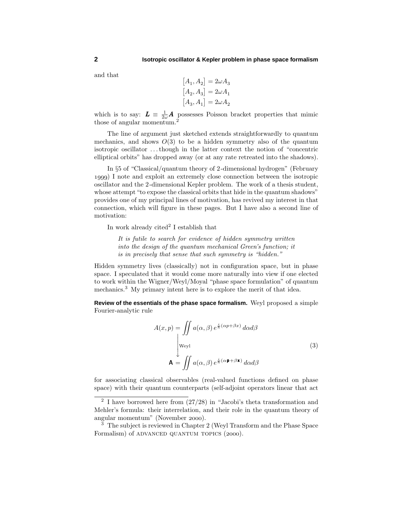and that

$$
[A_1, A_2] = 2\omega A_3
$$
  
\n
$$
[A_2, A_3] = 2\omega A_1
$$
  
\n
$$
[A_3, A_1] = 2\omega A_2
$$

which is to say:  $L = \frac{1}{2\omega} A$  possesses Poisson bracket properties that mimic those of angular momentum.<sup>2</sup>

The line of argument just sketched extends straightforwardly to quantum mechanics, and shows  $O(3)$  to be a hidden symmetry also of the quantum isotropic oscillator *...*though in the latter context the notion of "concentric elliptical orbits" has dropped away (or at any rate retreated into the shadows).

In §5 of "Classical/quantum theory of 2-dimensional hydrogen" (February ) I note and exploit an extremely close connection between the isotropic oscillator and the 2-dimensional Kepler problem. The work of a thesis student, whose attempt "to expose the classical orbits that hide in the quantum shadows" provides one of my principal lines of motivation, has revived my interest in that connection, which will figure in these pages. But I have also a second line of motivation:

In work already cited<sup>2</sup> I establish that

It is futile to search for evidence of hidden symmetry written into the design of the quantum mechanical Green's function; it is in precisely that sense that such symmetry is "hidden."

Hidden symmetry lives (classically) not in configuration space, but in phase space. I speculated that it would come more naturally into view if one elected to work within the Wigner/Weyl/Moyal "phase space formulation" of quantum mechanics.<sup>3</sup> My primary intent here is to explore the merit of that idea.

**Review of the essentials of the phase space formalism.** Weyl proposed a simple Fourier-analytic rule

$$
A(x, p) = \iint a(\alpha, \beta) e^{\frac{i}{\hbar}(\alpha p + \beta x)} d\alpha d\beta
$$
  
\n[weyl]  
\n
$$
\mathbf{A} = \iint a(\alpha, \beta) e^{\frac{i}{\hbar}(\alpha \mathbf{p} + \beta \mathbf{x})} d\alpha d\beta
$$
\n(3)

for associating classical observables (real-valued functions defined on phase space) with their quantum counterparts (self-adjoint operators linear that act

<sup>&</sup>lt;sup>2</sup> I have borrowed here from  $(27/28)$  in "Jacobi's theta transformation and Mehler's formula: their interrelation, and their role in the quantum theory of angular momentum" (November 2000).

<sup>&</sup>lt;sup>3</sup> The subject is reviewed in Chapter 2 (Weyl Transform and the Phase Space Formalism) of ADVANCED QUANTUM TOPICS (2000).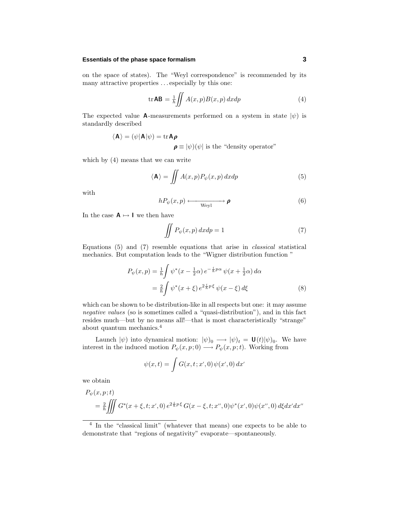#### **Essentials of the phase space formalism 3**

on the space of states). The "Weyl correspondence" is recommended by its many attractive properties *...* especially by this one:

$$
\operatorname{tr} \mathbf{AB} = \frac{1}{h} \iint A(x, p) B(x, p) \, dx \, dp \tag{4}
$$

The expected value **A**-measurements performed on a system in state  $|\psi\rangle$  is standardly described

 $\langle \mathbf{A} \rangle = (\psi | \mathbf{A} | \psi) = \text{tr} \mathbf{A} \boldsymbol{\rho}$ 

 $\rho \equiv |\psi\rangle(\psi|)$  is the "density operator"

which by (4) means that we can write

$$
\langle \mathbf{A} \rangle = \iint A(x, p) P_{\psi}(x, p) dx dp \tag{5}
$$

with

$$
hP_{\psi}(x,p) \longleftrightarrow \mathbf{p} \tag{6}
$$

In the case  $A \mapsto I$  we then have

$$
\iint P_{\psi}(x, p) dx dp = 1 \tag{7}
$$

Equations (5) and (7) resemble equations that arise in classical statistical mechanics. But computation leads to the "Wigner distribution function "

$$
P_{\psi}(x, p) = \frac{1}{h} \int \psi^*(x - \frac{1}{2}\alpha) e^{-\frac{i}{h}p\alpha} \psi(x + \frac{1}{2}\alpha) d\alpha
$$
  

$$
= \frac{2}{h} \int \psi^*(x + \xi) e^{2\frac{i}{h}p\xi} \psi(x - \xi) d\xi
$$
 (8)

which can be shown to be distribution-like in all respects but one: it may assume negative values (so is sometimes called a "quasi-distribution"), and in this fact resides much—but by no means all!—that is most characteristically "strange" about quantum mechanics.<sup>4</sup>

Launch  $|\psi\rangle$  into dynamical motion:  $|\psi\rangle_0 \longrightarrow |\psi\rangle_t = \mathbf{U}(t)|\psi\rangle_0$ . We have interest in the induced motion  $P_{\psi}(x, p; 0) \longrightarrow P_{\psi}(x, p; t)$ . Working from

$$
\psi(x,t) = \int G(x,t;x',0)\,\psi(x',0)\,dx'
$$

we obtain

$$
P_{\psi}(x, p; t)
$$
  
=  $\frac{2}{\hbar} \iiint G^*(x + \xi, t; x', 0) e^{2\frac{i}{\hbar}p\xi} G(x - \xi, t; x'', 0) \psi^*(x', 0) \psi(x'', 0) d\xi dx' dx''$ 

<sup>4</sup> In the "classical limit" (whatever that means) one expects to be able to demonstrate that "regions of negativity" evaporate—spontaneously.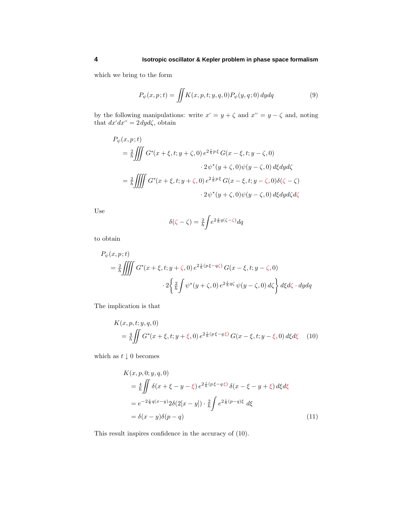## **4 Isotropic oscillator & Kepler problem in phase space formalism**

which we bring to the form

$$
P_{\psi}(x,p;t) = \iint K(x,p,t;y,q,0) P_{\psi}(y,q;0) dydq \qquad (9)
$$

by the following manipulations: write  $x' = y + \zeta$  and  $x'' = y - \zeta$  and, noting that  $dx'dx'' = 2 dy d\zeta$ , obtain

$$
P_{\psi}(x, p; t)
$$
\n
$$
= \frac{2}{\hbar} \iiint G^*(x + \xi, t; y + \zeta, 0) e^{2\frac{i}{\hbar}p\xi} G(x - \xi, t; y - \zeta, 0)
$$
\n
$$
\cdot 2\psi^*(y + \zeta, 0)\psi(y - \zeta, 0) d\xi dy d\zeta
$$
\n
$$
= \frac{2}{\hbar} \iiint G^*(x + \xi, t; y + \zeta, 0) e^{2\frac{i}{\hbar}p\xi} G(x - \xi, t; y - \zeta, 0) \delta(\zeta - \zeta)
$$
\n
$$
\cdot 2\psi^*(y + \zeta, 0)\psi(y - \zeta, 0) d\xi dy d\zeta d\zeta
$$

Use

$$
\delta(\zeta - \zeta) = \frac{2}{h} \int e^{2\frac{i}{h}q(\zeta - \zeta)} dq
$$

to obtain

$$
P_{\psi}(x, p; t)
$$
  
=  $\frac{2}{\hbar} \iiint G^*(x + \xi, t; y + \zeta, 0) e^{2\frac{i}{\hbar}(p\xi - q\zeta)} G(x - \xi, t; y - \zeta, 0)$   

$$
\cdot 2 \left\{ \frac{2}{\hbar} \int \psi^*(y + \zeta, 0) e^{2\frac{i}{\hbar}q\zeta} \psi(y - \zeta, 0) d\zeta \right\} d\xi d\zeta \cdot dy dq
$$

The implication is that

$$
K(x, p, t; y, q, 0)
$$
  
=  $\frac{4}{\hbar} \iint G^*(x + \xi, t; y + \xi, 0) e^{2\frac{i}{\hbar}(p\xi - q\xi)} G(x - \xi, t; y - \xi, 0) d\xi d\xi$  (10)

which as  $t\downarrow 0$  becomes

$$
K(x, p, 0; y, q, 0)
$$
  
=  $\frac{4}{\hbar} \iint \delta(x + \xi - y - \xi) e^{2\frac{i}{\hbar}(p\xi - q\xi)} \delta(x - \xi - y + \xi) d\xi d\xi$   
=  $e^{-2\frac{i}{\hbar}q(x-y)} 2\delta(2[x - y]) \cdot \frac{2}{\hbar} \int e^{2\frac{i}{\hbar}(p-q)\xi} d\xi$   
=  $\delta(x - y)\delta(p - q)$  (11)

This result inspires confidence in the accuracy of (10).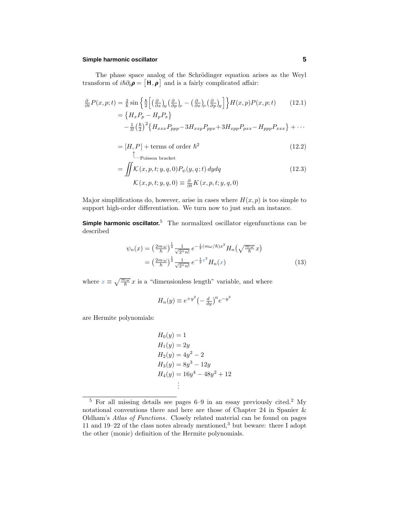#### **Simple harmonic oscillator 5**

The phase space analog of the Schrödinger equation arises as the Weyl transform of  $i\hbar\partial_t \rho = [\mathbf{H}, \rho]$  and is a fairly complicated affair:

$$
\frac{\partial}{\partial t}P(x, p; t) = \frac{2}{\hbar} \sin \left\{ \frac{\hbar}{2} \left[ \left( \frac{\partial}{\partial x} \right)_H \left( \frac{\partial}{\partial p} \right)_P - \left( \frac{\partial}{\partial x} \right)_P \left( \frac{\partial}{\partial p} \right)_H \right] \right\} H(x, p) P(x, p; t) \qquad (12.1)
$$
\n
$$
= \left\{ H_x P_p - H_p P_x \right\}
$$
\n
$$
- \frac{1}{3!} \left( \frac{\hbar}{2} \right)^2 \left\{ H_{xxx} P_{ppp} - 3 H_{xxp} P_{ppx} + 3 H_{xpp} P_{pxx} - H_{ppp} P_{xxx} \right\} + \cdots
$$

$$
= [H, P] + \text{terms of order } \hbar^2 \tag{12.2}
$$

$$
= \iint \mathcal{K}(x, p, t; y, q, 0) P_{\psi}(y, q; t) dy dq
$$
  

$$
\mathcal{K}(x, p, t; y, q, 0) \equiv \frac{\partial}{\partial t} K(x, p, t; y, q, 0)
$$
 (12.3)

Major simplifications do, however, arise in cases where  $H(x, p)$  is too simple to support high-order differentiation. We turn now to just such an instance.

**Simple harmonic oscillator.**<sup>5</sup> The normalized oscillator eigenfunctions can be described

$$
\psi_n(x) = \left(\frac{2m\omega}{h}\right)^{\frac{1}{4}} \frac{1}{\sqrt{2^n n!}} e^{-\frac{1}{2}(m\omega/\hbar)x^2} H_n\left(\sqrt{\frac{m\omega}{\hbar}}x\right)
$$

$$
= \left(\frac{2m\omega}{h}\right)^{\frac{1}{4}} \frac{1}{\sqrt{2^n n!}} e^{-\frac{1}{2}x^2} H_n(x) \tag{13}
$$

where  $x \equiv \sqrt{\frac{m\omega}{\hbar}} x$  is a "dimensionless length" variable, and where

$$
H_n(y) \equiv e^{+y^2} \left(-\frac{d}{dy}\right)^n e^{-y^2}
$$

are Hermite polynomials:

$$
H_0(y) = 1
$$
  
\n
$$
H_1(y) = 2y
$$
  
\n
$$
H_2(y) = 4y^2 - 2
$$
  
\n
$$
H_3(y) = 8y^3 - 12y
$$
  
\n
$$
H_4(y) = 16y^4 - 48y^2 + 12
$$
  
\n
$$
\vdots
$$

 $\frac{5}{5}$  For all missing details see pages 6–9 in an essay previously cited.<sup>2</sup> My notational conventions there and here are those of Chapter 24 in Spanier & Oldham's Atlas of Functions. Closely related material can be found on pages 11 and 19–22 of the class notes already mentioned,<sup>3</sup> but beware: there I adopt the other (monic) definition of the Hermite polynomials.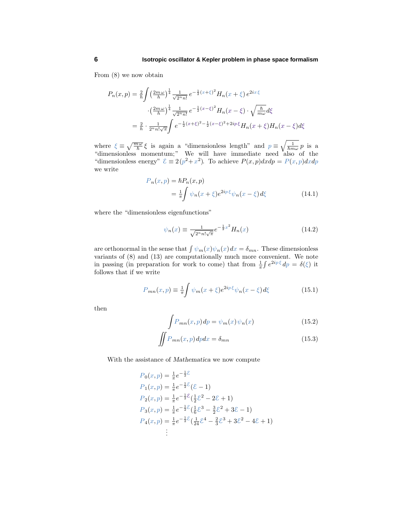From (8) we now obtain

$$
P_n(x,p) = \frac{2}{h} \int \left(\frac{2m\omega}{h}\right)^{\frac{1}{4}} \frac{1}{\sqrt{2^n n!}} e^{-\frac{1}{2}(x+\xi)^2} H_n(x+\xi) e^{2ix\cdot\xi}
$$

$$
\cdot \left(\frac{2m\omega}{h}\right)^{\frac{1}{4}} \frac{1}{\sqrt{2^n n!}} e^{-\frac{1}{2}(x-\xi)^2} H_n(x-\xi) \cdot \sqrt{\frac{h}{m\omega}} d\xi
$$

$$
= \frac{2}{h} \cdot \frac{1}{2^n n! \sqrt{\pi}} \int e^{-\frac{1}{2}(x+\xi)^2 - \frac{1}{2}(x-\xi)^2 + 2ip\cdot\xi} H_n(x+\xi) H_n(x-\xi) d\xi
$$

where  $\xi \equiv \sqrt{\frac{m\omega}{\hbar}} \xi$  is again a "dimensionless length" and  $p \equiv \sqrt{\frac{1}{\hbar m \omega}} p$  is a "dimensionless momentum;" We will have immediate need also of the "dimensionless energy"  $\mathcal{E} \equiv 2(p^2 + x^2)$ . To achieve  $P(x, p)dx dp = P(x, p)dx dp$ we write

$$
P_n(x, p) = \hbar P_n(x, p)
$$
  
= 
$$
\frac{1}{\pi} \int \psi_n(x + \xi) e^{2ip\xi} \psi_n(x - \xi) d\xi
$$
 (14.1)

where the "dimensionless eigenfunctions"

$$
\psi_n(x) \equiv \frac{1}{\sqrt{2^n n! \sqrt{\pi}}} e^{-\frac{1}{2}x^2} H_n(x) \tag{14.2}
$$

are orthonormal in the sense that  $\int \psi_m(x)\psi_n(x)dx = \delta_{mn}$ . These dimensionless variants of (8) and (13) are computationally much more convenient. We note in passing (in preparation for work to come) that from  $\frac{1}{\pi} \int e^{2ip\xi} dp = \delta(\xi)$  it follows that if we write

$$
P_{mn}(x,p) \equiv \frac{1}{\pi} \int \psi_m(x+\xi) e^{2ip\,\xi} \psi_n(x-\xi) d\xi \tag{15.1}
$$

then

$$
\int P_{mn}(x, p) dp = \psi_m(x) \psi_n(x)
$$
\n(15.2)

$$
\iint P_{mn}(x,p) dp dx = \delta_{mn} \tag{15.3}
$$

With the assistance of *Mathematica* we now compute

$$
P_0(x, p) = \frac{1}{\pi} e^{-\frac{1}{2}\mathcal{E}}
$$
  
\n
$$
P_1(x, p) = \frac{1}{\pi} e^{-\frac{1}{2}\mathcal{E}} (\mathcal{E} - 1)
$$
  
\n
$$
P_2(x, p) = \frac{1}{\pi} e^{-\frac{1}{2}\mathcal{E}} (\frac{1}{2}\mathcal{E}^2 - 2\mathcal{E} + 1)
$$
  
\n
$$
P_3(x, p) = \frac{1}{\pi} e^{-\frac{1}{2}\mathcal{E}} (\frac{1}{6}\mathcal{E}^3 - \frac{3}{2}\mathcal{E}^2 + 3\mathcal{E} - 1)
$$
  
\n
$$
P_4(x, p) = \frac{1}{\pi} e^{-\frac{1}{2}\mathcal{E}} (\frac{1}{24}\mathcal{E}^4 - \frac{2}{3}\mathcal{E}^3 + 3\mathcal{E}^2 - 4\mathcal{E} + 1)
$$
  
\n
$$
\vdots
$$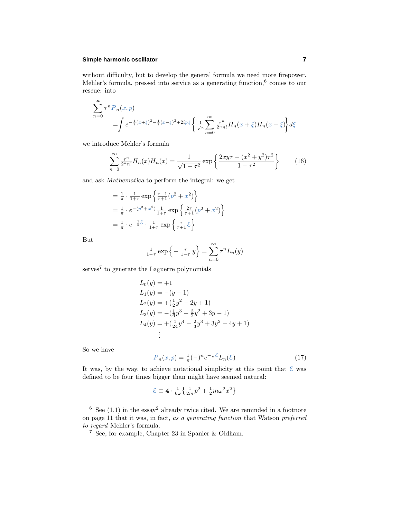## **Simple harmonic oscillator 7**

without difficulty, but to develop the general formula we need more firepower. Mehler's formula, pressed into service as a generating function,<sup>6</sup> comes to our rescue: into

$$
\sum_{n=0}^{\infty} \tau^n P_n(x, p)
$$
  
= 
$$
\int e^{-\frac{1}{2}(x+\xi)^2 - \frac{1}{2}(x-\xi)^2 + 2ip\xi} \left\{ \frac{1}{\sqrt{\pi}} \sum_{n=0}^{\infty} \frac{\tau^n}{2^n n!} H_n(x+\xi) H_n(x-\xi) \right\} d\xi
$$

we introduce Mehler's formula

$$
\sum_{n=0}^{\infty} \frac{\tau^n}{2^n n!} H_n(x) H_n(x) = \frac{1}{\sqrt{1-\tau^2}} \exp\left\{ \frac{2xy\tau - (x^2 + y^2)\tau^2}{1-\tau^2} \right\}
$$
(16)

and ask *Mathematica* to perform the integral: we get

$$
= \frac{1}{\pi} \cdot \frac{1}{1+\tau} \exp\left\{\frac{\tau-1}{\tau+1}(p^2+x^2)\right\}
$$
  
=  $\frac{1}{\pi} \cdot e^{-(p^2+x^2)} \frac{1}{1+\tau} \exp\left\{\frac{2\tau}{\tau+1}(p^2+x^2)\right\}$   
=  $\frac{1}{\pi} \cdot e^{-\frac{1}{2}\mathcal{E}} \cdot \frac{1}{1+\tau} \exp\left\{\frac{\tau}{\tau+1}\mathcal{E}\right\}$ 

But

$$
\frac{1}{1-\tau}\exp\left\{-\frac{\tau}{1-\tau}y\right\} = \sum_{n=0}^{\infty} \tau^n L_n(y)
$$

serves<sup>7</sup> to generate the Laguerre polynomials

$$
L_0(y) = +1
$$
  
\n
$$
L_1(y) = -(y - 1)
$$
  
\n
$$
L_2(y) = +( \frac{1}{2}y^2 - 2y + 1)
$$
  
\n
$$
L_3(y) = -(\frac{1}{6}y^3 - \frac{3}{2}y^2 + 3y - 1)
$$
  
\n
$$
L_4(y) = +(\frac{1}{24}y^4 - \frac{2}{3}y^3 + 3y^2 - 4y + 1)
$$
  
\n
$$
\vdots
$$

So we have

$$
P_n(x, p) = \frac{1}{\pi}(-)^n e^{-\frac{1}{2}\mathcal{E}} L_n(\mathcal{E})
$$
\n(17)

It was, by the way, to achieve notational simplicity at this point that  $\mathcal E$  was defined to be four times bigger than might have seemed natural:

$$
\mathcal{E} \equiv 4 \cdot \frac{1}{\hbar \omega} \left\{ \frac{1}{2m} p^2 + \frac{1}{2} m \omega^2 x^2 \right\}
$$

 $6$  See (1.1) in the essay<sup>2</sup> already twice cited. We are reminded in a footnote on page 11 that it was, in fact, as a generating function that Watson preferred to regard Mehler's formula.

<sup>7</sup> See, for example, Chapter 23 in Spanier & Oldham.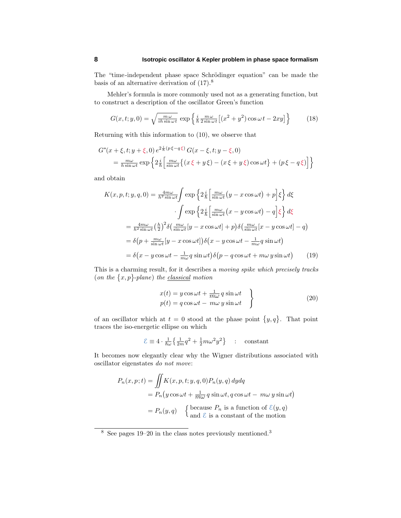The "time-independent phase space Schrödinger equation" can be made the basis of an alternative derivation of  $(17).<sup>8</sup>$ 

Mehler's formula is more commonly used not as a generating function, but to construct a description of the oscillator Green's function

$$
G(x, t; y, 0) = \sqrt{\frac{m\omega}{ih\sin\omega t}} \exp\left\{\frac{i}{\hbar} \frac{m\omega}{2\sin\omega t} \left[ (x^2 + y^2) \cos\omega t - 2xy \right] \right\}
$$
(18)

Returning with this information to (10), we observe that

$$
G^*(x+\xi, t; y+\xi, 0) e^{2\frac{i}{\hbar}(p\xi-q\xi)} G(x-\xi, t; y-\xi, 0)
$$
  
= 
$$
\frac{m\omega}{\hbar \sin \omega t} \exp \left\{ 2\frac{i}{\hbar} \left[ \frac{m\omega}{\sin \omega t} \left\{ (x\xi + y\xi) - (x\xi + y\xi) \cos \omega t \right\} + (p\xi - q\xi) \right] \right\}
$$

and obtain

$$
K(x, p, t; y, q, 0) = \frac{4m\omega}{h^2 \sin \omega t} \int \exp\left\{2\frac{i}{\hbar} \left[\frac{m\omega}{\sin \omega t}(y - x\cos \omega t) + p\right]\xi\right\} d\xi
$$

$$
\cdot \int \exp\left\{2\frac{i}{\hbar} \left[\frac{m\omega}{\sin \omega t}(x - y\cos \omega t) - q\right]\xi\right\} d\xi
$$

$$
= \frac{4m\omega}{h^2 \sin \omega t} \left(\frac{h}{2}\right)^2 \delta\left(\frac{m\omega}{\sin \omega t}[y - x\cos \omega t] + p\right) \delta\left(\frac{m\omega}{\sin \omega t}[x - y\cos \omega t] - q\right)
$$

$$
= \delta\left(p + \frac{m\omega}{\sin \omega t}[y - x\cos \omega t]\right) \delta\left(x - y\cos \omega t - \frac{1}{m\omega}q\sin \omega t\right)
$$

$$
= \delta\left(x - y\cos \omega t - \frac{1}{m\omega}q\sin \omega t\right) \delta\left(p - q\cos \omega t + m\omega y\sin \omega t\right) \tag{19}
$$

This is a charming result, for it describes a moving spike which precisely tracks  $($ *on the*  $\{x, p\}$ -plane) the <u>classical</u> motion

$$
x(t) = y \cos \omega t + \frac{1}{m\omega} q \sin \omega t
$$
  
\n
$$
p(t) = q \cos \omega t - m\omega y \sin \omega t
$$
 (20)

of an oscillator which at  $t = 0$  stood at the phase point  $\{y, q\}$ . That point traces the iso-energetic ellipse on which

$$
\mathcal{E} \equiv 4 \cdot \frac{1}{\hbar \omega} \left\{ \frac{1}{2m} q^2 + \frac{1}{2} m \omega^2 y^2 \right\} \quad : \quad \text{constant}
$$

It becomes now elegantly clear why the Wigner distributions associated with oscillator eigenstates do not move:

$$
P_n(x, p; t) = \iint K(x, p, t; y, q, 0) P_n(y, q) dy dq
$$
  
=  $P_n(y \cos \omega t + \frac{1}{m\omega} q \sin \omega t, q \cos \omega t - m\omega y \sin \omega t)$   
=  $P_n(y, q)$  {because  $P_n$  is a function of  $\mathcal{E}(y, q)$   
and  $\mathcal{E}$  is a constant of the motion

 $8$  See pages 19–20 in the class notes previously mentioned.<sup>3</sup>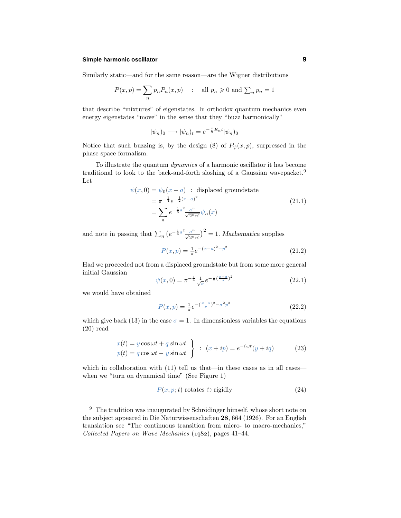#### **Simple harmonic oscillator 9**

Similarly static—and for the same reason—are the Wigner distributions

$$
P(x, p) = \sum_{n} p_n P_n(x, p) \quad : \quad \text{all } p_n \geqslant 0 \text{ and } \sum_{n} p_n = 1
$$

that describe "mixtures" of eigenstates. In orthodox quantum mechanics even energy eigenstates "move" in the sense that they "buzz harmonically"

$$
|\psi_n)_0 \longrightarrow |\psi_n)_t = e^{-\frac{i}{\hbar}E_n t} |\psi_n)_0
$$

Notice that such buzzing is, by the design (8) of  $P_{\psi}(x, p)$ , surpressed in the phase space formalism.

To illustrate the quantum dynamics of a harmonic oscillator it has become traditional to look to the back-and-forth sloshing of a Gaussian wavepacket.<sup>9</sup> Let

$$
\psi(x,0) = \psi_0(x-a) : \text{ displaced groundstate}
$$
  
=  $\pi^{-\frac{1}{4}}e^{-\frac{1}{2}(x-a)^2}$   
=  $\sum_n e^{-\frac{1}{4}a^2} \frac{a^n}{\sqrt{2^n n!}} \psi_n(x)$  (21.1)

and note in passing that  $\sum_{n} (e^{-\frac{1}{4}a^2} \frac{a^n}{\sqrt{2^n n!}})^2 = 1$ . *Mathematica* supplies

$$
P(x,p) = \frac{1}{\pi}e^{-(x-a)^2 - p^2}
$$
\n(21.2)

Had we proceeded not from a displaced groundstate but from some more general initial Gaussian

$$
\psi(x,0) = \pi^{-\frac{1}{4}} \frac{1}{\sqrt{\sigma}} e^{-\frac{1}{2}(\frac{x-a}{\sigma})^2}
$$
\n(22.1)

we would have obtained

$$
P(x,p) = \frac{1}{\pi}e^{-(\frac{x-a}{\sigma})^2 - \sigma^2 p^2}
$$
\n(22.2)

which give back (13) in the case  $\sigma = 1$ . In dimensionless variables the equations (20) read

$$
x(t) = y \cos \omega t + q \sin \omega t
$$
  
\n
$$
p(t) = q \cos \omega t - y \sin \omega t
$$
 :  $(x + ip) = e^{-i\omega t} (y + iq)$  (23)

which in collaboration with  $(11)$  tell us that—in these cases as in all cases when we "turn on dynamical time" (See Figure 1)

$$
P(x, p; t) \text{ rotates } \circlearrowright \text{ rigidly} \tag{24}
$$

 $9$  The tradition was inaugurated by Schrödinger himself, whose short note on the subject appeared in Die Naturwissenschaften **28**, 664 (1926). For an English translation see "The continuous transition from micro- to macro-mechanics," Collected Papers on Wave Mechanics  $(1982)$ , pages 41–44.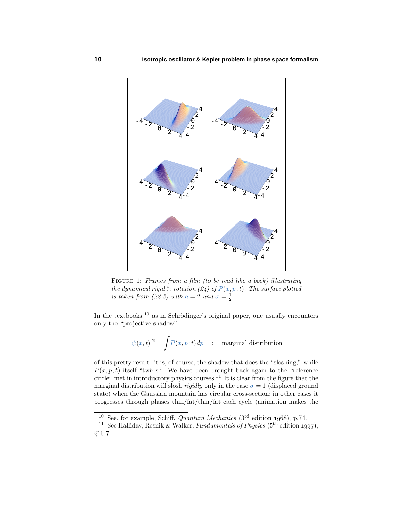

FIGURE 1: Frames from a film (to be read like a book) illustrating  $the\ dynamical\ rigid\ \circ\ rotation\ (24)\ of\ P(x,p\,;t).$  The surface plotted is taken from (22.2) with  $a = 2$  and  $\sigma = \frac{1}{2}$ .

In the textbooks, $10$  as in Schrödinger's original paper, one usually encounters only the "projective shadow"

$$
|\psi(x,t)|^2 = \int P(x,p;t) \, dp \quad : \quad \text{marginal distribution}
$$

of this pretty result: it is, of course, the shadow that does the "sloshing," while  $P(x, p; t)$  itself "twirls." We have been brought back again to the "reference" circle" met in introductory physics courses.<sup>11</sup> It is clear from the figure that the marginal distribution will slosh *rigidly* only in the case  $\sigma = 1$  (displaced ground state) when the Gaussian mountain has circular cross-section; in other cases it progresses through phases thin/fat/thin/fat each cycle (animation makes the

<sup>&</sup>lt;sup>10</sup> See, for example, Schiff, *Quantum Mechanics* (3<sup>rd</sup> edition 1968), p.74.

<sup>&</sup>lt;sup>11</sup> See Halliday, Resnik & Walker, *Fundamentals of Physics* (5<sup>th</sup> edition 1997), §16-7.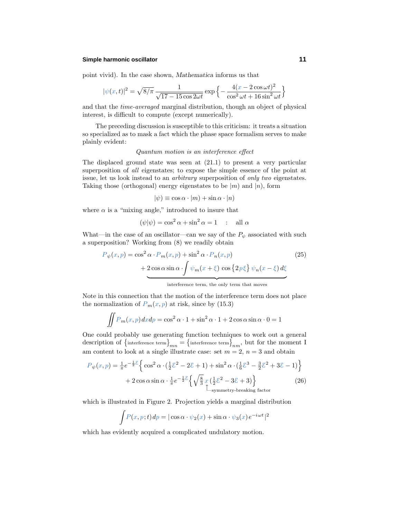#### **Simple harmonic oscillator 11**

point vivid). In the case shown, *Mathematica* informs us that

$$
|\psi(x,t)|^2 = \sqrt{8/\pi} \frac{1}{\sqrt{17 - 15\cos 2\omega t}} \exp\left\{-\frac{4(x - 2\cos \omega t)^2}{\cos^2 \omega t + 16\sin^2 \omega t}\right\}
$$

and that the time-averaged marginal distribution, though an object of physical interest, is difficult to compute (except numerically).

The preceding discussion is susceptible to this criticism: it treats a situation so specialized as to mask a fact which the phase space formalism serves to make plainly evident:

#### Quantum motion is an interference effect

The displaced ground state was seen at (21.1) to present a very particular superposition of all eigenstates; to expose the simple essence of the point at issue, let us look instead to an arbitrary superposition of only two eigenstates. Taking those (orthogonal) energy eigenstates to be  $|m\rangle$  and  $|n\rangle$ , form

$$
|\psi) \equiv \cos \alpha \cdot |m\rangle + \sin \alpha \cdot |n\rangle
$$

where  $\alpha$  is a "mixing angle," introduced to insure that

$$
(\psi|\psi) = \cos^2 \alpha + \sin^2 \alpha = 1 \quad : \quad \text{all } \alpha
$$

What—in the case of an oscillator—can we say of the  $P_{\psi}$  associated with such a superposition? Working from (8) we readily obtain

$$
P_{\psi}(x, p) = \cos^{2} \alpha \cdot P_{m}(x, p) + \sin^{2} \alpha \cdot P_{n}(x, p)
$$
\n
$$
+ 2 \cos \alpha \sin \alpha \cdot \int \psi_{m}(x + \xi) \cos \{2p\xi\} \psi_{n}(x - \xi) d\xi
$$
\n
$$
\text{interference term, the only term that moves}
$$
\n(25)

Note in this connection that the motion of the interference term does not place the normalization of  $P_m(x, p)$  at risk, since by (15.3)

$$
\iint P_m(x, p) dx dp = \cos^2 \alpha \cdot 1 + \sin^2 \alpha \cdot 1 + 2 \cos \alpha \sin \alpha \cdot 0 = 1
$$

One could probably use generating function techniques to work out a general description of  $\{$  interference term $\}$ <sub>*mn*</sub> =  $\{$  interference term $\}$ <sub>*nm*</sub>, but for the moment I am content to look at a single illustrate case: set  $m = 2$ ,  $n = 3$  and obtain

$$
P_{\psi}(x, p) = \frac{1}{\pi} e^{-\frac{1}{2}\mathcal{E}} \left\{ \cos^2 \alpha \cdot (\frac{1}{2}\mathcal{E}^2 - 2\mathcal{E} + 1) + \sin^2 \alpha \cdot (\frac{1}{6}\mathcal{E}^3 - \frac{3}{2}\mathcal{E}^2 + 3\mathcal{E} - 1) \right\}
$$
  
+ 2 cos  $\alpha$  sin  $\alpha \cdot \frac{1}{\pi} e^{-\frac{1}{2}\mathcal{E}} \left\{ \sqrt{\frac{8}{3}} x (\frac{1}{2}\mathcal{E}^2 - 3\mathcal{E} + 3) \right\}$  (26)

which is illustrated in Figure 2. Projection yields a marginal distribution

$$
\int P(x, p; t) dp = |\cos \alpha \cdot \psi_2(x) + \sin \alpha \cdot \psi_3(x) e^{-i\omega t}|^2
$$

which has evidently acquired a complicated undulatory motion.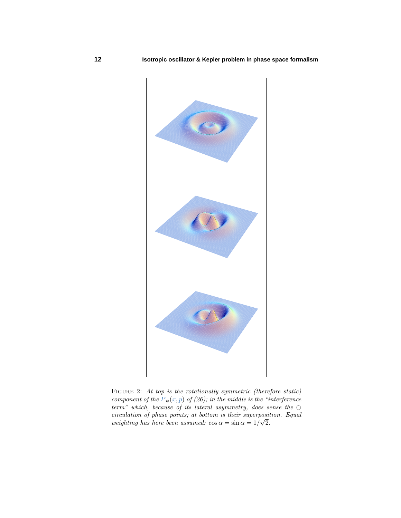

FIGURE 2: At top is the rotationally symmetric (therefore static) component of the  $P_{\psi}(x, p)$  of (26); in the middle is the "interference" term" which, because of its lateral asymmetry, <u>does</u> sense the  $\circlearrowright$  circulation of phase points; at bottom is their superposition. Equal weighting has here been assumed:  $\cos \alpha = \sin \alpha = 1/\sqrt{2}$ .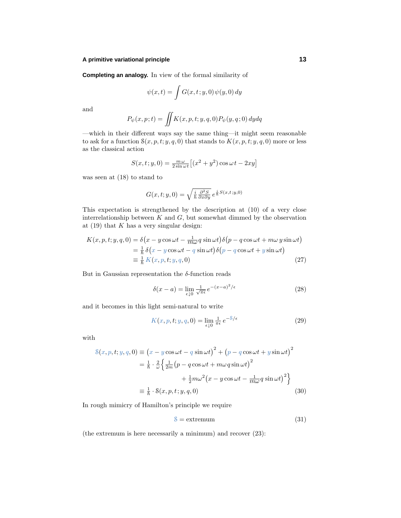#### **A primitive variational principle 13**

**Completing an analogy.** In view of the formal similarity of

$$
\psi(x,t) = \int G(x,t;y,0)\,\psi(y,0)\,dy
$$

and

$$
P_{\psi}(x,p;t) = \iint K(x,p,t;y,q,0) P_{\psi}(y,q;0) dydq
$$

—which in their different ways say the same thing—it might seem reasonable to ask for a function  $S(x, p, t; y, q, 0)$  that stands to  $K(x, p, t; y, q, 0)$  more or less as the classical action

$$
S(x, t; y, 0) = \frac{m\omega}{2\sin\omega t} \left[ (x^2 + y^2)\cos\omega t - 2xy \right]
$$

was seen at (18) to stand to

$$
G(x, t; y, 0) = \sqrt{\frac{i}{\hbar} \frac{\partial^2 S}{\partial x \partial y}} e^{\frac{i}{\hbar} S(x, t; y, 0)}
$$

This expectation is strengthened by the description at (10) of a very close interrelationship between  $K$  and  $G$ , but somewhat dimmed by the observation at (19) that *K* has a very singular design:

$$
K(x, p, t; y, q, 0) = \delta(x - y \cos \omega t - \frac{1}{m\omega} q \sin \omega t) \delta(p - q \cos \omega t + m\omega y \sin \omega t)
$$
  
=  $\frac{1}{\hbar} \delta(x - y \cos \omega t - q \sin \omega t) \delta(p - q \cos \omega t + y \sin \omega t)$   
=  $\frac{1}{\hbar} K(x, p, t; y, q, 0)$  (27)

But in Gaussian representation the  $\delta$ -function reads

$$
\delta(x - a) = \lim_{\epsilon \downarrow 0} \frac{1}{\sqrt{\pi \epsilon}} e^{-(x - a)^2/\epsilon} \tag{28}
$$

and it becomes in this light semi-natural to write

$$
K(x, p, t; y, q, 0) = \lim_{\epsilon \downarrow 0} \frac{1}{\pi \epsilon} e^{-\delta/\epsilon}
$$
 (29)

with

$$
S(x, p, t; y, q, 0) \equiv (x - y \cos \omega t - q \sin \omega t)^2 + (p - q \cos \omega t + y \sin \omega t)^2
$$
  

$$
= \frac{1}{\hbar} \cdot \frac{2}{\omega} \left\{ \frac{1}{2m} (p - q \cos \omega t + m\omega q \sin \omega t)^2 + \frac{1}{2} m \omega^2 (x - y \cos \omega t - \frac{1}{m \omega} q \sin \omega t)^2 \right\}
$$
  

$$
\equiv \frac{1}{\hbar} \cdot S(x, p, t; y, q, 0)
$$
(30)

In rough mimicry of Hamilton's principle we require

$$
\mathcal{S} = \text{extremum} \tag{31}
$$

(the extremum is here necessarily a minimum) and recover (23):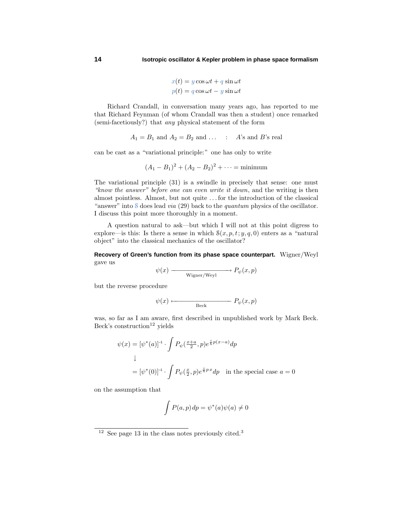$$
x(t) = y \cos \omega t + q \sin \omega t
$$

$$
p(t) = q \cos \omega t - y \sin \omega t
$$

Richard Crandall, in conversation many years ago, has reported to me that Richard Feynman (of whom Crandall was then a student) once remarked (semi-facetiously?) that any physical statement of the form

$$
A_1 = B_1 \text{ and } A_2 = B_2 \text{ and } \dots \quad : \quad A \text{'s and } B \text{'s real}
$$

can be cast as a "variational principle:" one has only to write

$$
(A_1 - B_1)^2 + (A_2 - B_2)^2 + \dots = \text{minimum}
$$

The variational principle (31) is a swindle in precisely that sense: one must "know the answer" before one can even write it down, and the writing is then almost pointless. Almost, but not quite *...* for the introduction of the classical "answer" into S does lead *via* (29) back to the *quantum* physics of the oscillator. I discuss this point more thoroughly in a moment.

A question natural to ask—but which I will not at this point digress to explore—is this: Is there a sense in which  $S(x, p, t; y, q, 0)$  enters as a "natural object" into the classical mechanics of the oscillator?

**Recovery of Green's function from its phase space counterpart.** Wigner/Weyl gave us

$$
\psi(x) \longrightarrow_{\text{Wigner/Weyl}} P_{\psi}(x, p)
$$

but the reverse procedure

$$
\psi(x) \longleftarrow \qquad \qquad P_{\psi}(x, p)
$$

was, so far as I am aware, first described in unpublished work by Mark Beck. Beck's construction<sup>12</sup> yields

$$
\psi(x) = [\psi^*(a)]^{-1} \cdot \int P_{\psi}(\frac{x+a}{2}, p) e^{\frac{i}{\hbar}p(x-a)} dp
$$
  
\n
$$
\downarrow
$$
  
\n
$$
= [\psi^*(0)]^{-1} \cdot \int P_{\psi}(\frac{x}{2}, p) e^{\frac{i}{\hbar}p x} dp \text{ in the special case } a = 0
$$

on the assumption that

$$
\int P(a, p) dp = \psi^*(a)\psi(a) \neq 0
$$

 $12$  See page 13 in the class notes previously cited.<sup>3</sup>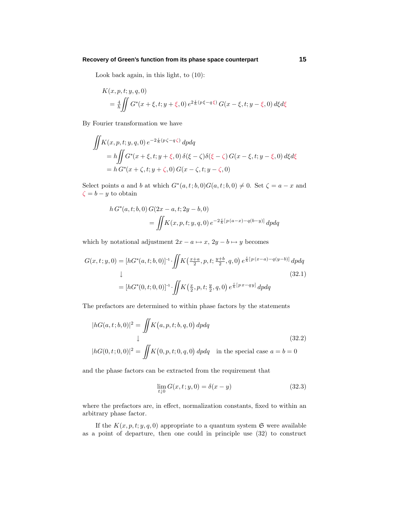#### **Recovery of Green's function from its phase space counterpart 15**

Look back again, in this light, to (10):

$$
K(x, p, t; y, q, 0)
$$
  
=  $\frac{4}{\hbar} \iint G^*(x + \xi, t; y + \xi, 0) e^{2\frac{i}{\hbar}(p\xi - q\xi)} G(x - \xi, t; y - \xi, 0) d\xi d\xi$ 

By Fourier transformation we have

$$
\iint K(x, p, t; y, q, 0) e^{-2\frac{i}{\hbar}(p\zeta - q\zeta)} dp dq
$$
\n
$$
= h \iint G^*(x + \xi, t; y + \xi, 0) \delta(\xi - \zeta) \delta(\xi - \zeta) G(x - \xi, t; y - \xi, 0) d\xi d\xi
$$
\n
$$
= h G^*(x + \zeta, t; y + \zeta, 0) G(x - \zeta, t; y - \zeta, 0)
$$

Select points *a* and *b* at which  $G^*(a,t; b,0)G(a,t; b,0) \neq 0$ . Set  $\zeta = a - x$  and  $\zeta = b - y$  to obtain

$$
h G^{*}(a, t; b, 0) G(2x - a, t; 2y - b, 0)
$$
  
= 
$$
\iint K(x, p, t; y, q, 0) e^{-2\frac{i}{\hbar}[p(a-x) - q(b-y)]} dp dq
$$

which by notational adjustment  $2x - a \mapsto x$ ,  $2y - b \mapsto y$  becomes

$$
G(x, t; y, 0) = [hG^*(a, t; b, 0)]^{-1} \cdot \iint K(\frac{x+a}{2}, p, t; \frac{y+b}{2}, q, 0) e^{\frac{i}{\hbar}[p(x-a)-q(y-b)]} dp dq
$$
  
\n
$$
\downarrow
$$
\n
$$
(32.1)
$$
\n
$$
= [hG^*(0, t; 0, 0)]^{-1} \cdot \iint K(\frac{x}{2}, p, t; \frac{y}{2}, q, 0) e^{\frac{i}{\hbar}[px-qy]} dp dq
$$

The prefactors are determined to within phase factors by the statements

$$
|hG(a, t; b, 0)|^2 = \iint K(a, p, t; b, q, 0) dp dq
$$
  
\n
$$
\downarrow
$$
\n
$$
|hG(0, t; 0, 0)|^2 = \iint K(0, p, t; 0, q, 0) dp dq \text{ in the special case } a = b = 0
$$
\n(32.2)

and the phase factors can be extracted from the requirement that

$$
\lim_{t \downarrow 0} G(x, t; y, 0) = \delta(x - y)
$$
\n(32.3)

where the prefactors are, in effect, normalization constants, fixed to within an arbitrary phase factor.

If the  $K(x, p, t; y, q, 0)$  appropriate to a quantum system  $\mathfrak{S}$  were available as a point of departure, then one could in principle use (32) to construct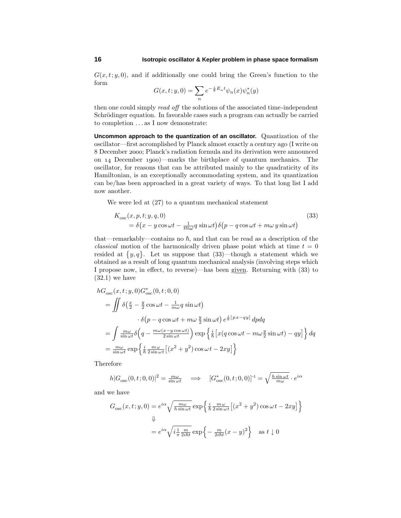$G(x, t; y, 0)$ , and if additionally one could bring the Green's function to the form

$$
G(x, t; y, 0) = \sum_{n} e^{-\frac{i}{\hbar}E_{n}t} \psi_{n}(x) \psi_{n}^{*}(y)
$$

then one could simply *read off* the solutions of the associated time-independent Schrödinger equation. In favorable cases such a program can actually be carried to completion *...* as I now demonstrate:

**Uncommon approach to the quantization of an oscillator.** Quantization of the oscillator—first accomplished by Planck almost exactly a century ago (I write on December ; Planck's radiation formula and its derivation were announced on 14 December 1900)—marks the birthplace of quantum mechanics. The oscillator, for reasons that can be attributed mainly to the quadraticity of its Hamiltonian, is an exceptionally accommodating system, and its quantization can be/has been approached in a great variety of ways. To that long list I add now another.

We were led at (27) to a quantum mechanical statement

$$
K_{\rm osc}(x, p, t; y, q, 0)
$$
  
=  $\delta(x - y \cos \omega t - \frac{1}{m\omega} q \sin \omega t) \delta(p - q \cos \omega t + m\omega y \sin \omega t)$  (33)

that—remarkably—contains no  $\hbar$ , and that can be read as a description of the *classical* motion of the harmonically driven phase point which at time  $t = 0$ resided at  $\{y, q\}$ . Let us suppose that  $(33)$ —though a statement which we obtained as a result of long quantum mechanical analysis (involving steps which I propose now, in effect, to reverse)—has been given. Returning with (33) to  $(32.1)$  we have

$$
hG_{\rm osc}(x, t; y, 0)G_{\rm osc}^{*}(0, t; 0, 0)
$$
  
= 
$$
\iint \delta\left(\frac{x}{2} - \frac{y}{2}\cos\omega t - \frac{1}{m\omega}q\sin\omega t\right)
$$

$$
\cdot \delta\left(p - q\cos\omega t + m\omega\frac{y}{2}\sin\omega t\right)e^{\frac{i}{\hbar}\left[px - qy\right]}\,dpdq
$$
  
= 
$$
\int \frac{m\omega}{\sin\omega t}\delta\left(q - \frac{m\omega(x - y\cos\omega t)}{2\sin\omega t}\right)\exp\left\{\frac{i}{\hbar}\left[x(q\cos\omega t - m\omega\frac{y}{2}\sin\omega t) - qy\right]\right\}dq
$$
  
= 
$$
\frac{m\omega}{\sin\omega t}\exp\left\{\frac{i}{\hbar}\frac{m\omega}{2\sin\omega t}\left[(x^2 + y^2)\cos\omega t - 2xy\right]\right\}
$$

Therefore

$$
h|G_{\rm osc}(0,t;0,0)|^2 = \frac{m\omega}{\sin\omega t} \quad \Longrightarrow \quad [G_{\rm osc}^*(0,t;0,0)]^{-1} = \sqrt{\frac{h\sin\omega t}{m\omega}} \cdot e^{i\alpha}
$$

and we have

$$
G_{\rm osc}(x, t; y, 0) = e^{i\alpha} \sqrt{\frac{m\omega}{h \sin \omega t}} \exp\left\{\frac{i}{\hbar} \frac{m\omega}{2 \sin \omega t} \left[ (x^2 + y^2) \cos \omega t - 2xy \right] \right\}
$$
  

$$
\Downarrow
$$
  

$$
= e^{i\alpha} \sqrt{i \frac{1}{\pi} \frac{m}{2i\hbar t}} \exp\left\{-\frac{m}{2i\hbar t} (x - y)^2\right\} \text{ as } t \downarrow 0
$$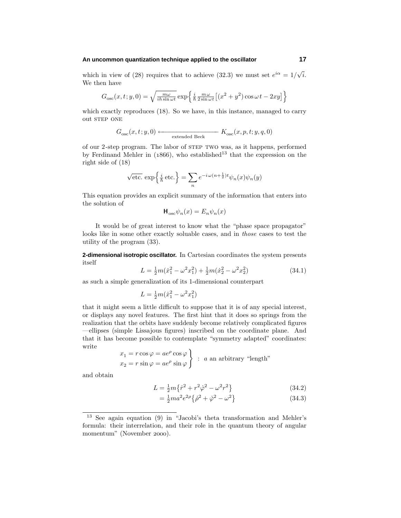#### **An uncommon quantization technique applied to the oscillator 17**

which in view of (28) requires that to achieve (32.3) we must set  $e^{i\alpha} = 1/\sqrt{i}$ . We then have

$$
G_{\rm osc}(x,t;y,0) = \sqrt{\frac{m\omega}{ih\sin\omega t}} \exp\left\{\frac{i}{\hbar} \frac{m\omega}{2\sin\omega t} \left[ (x^2 + y^2) \cos\omega t - 2xy \right] \right\}
$$

which exactly reproduces (18). So we have, in this instance, managed to carry out STEP ONE

$$
G_{\rm osc}(x,t;y,0) \longleftarrow \text{extended Beck} \qquad K_{\rm osc}(x,p,t;y,q,0)
$$

of our 2-step program. The labor of step two was, as it happens, performed by Ferdinand Mehler in ( $1866$ ), who established<sup>13</sup> that the expression on the right side of (18)

$$
\sqrt{\text{etc.}} \exp\left\{\frac{i}{\hbar}\text{etc.}\right\} = \sum_{n} e^{-i\omega(n+\frac{1}{2})t} \psi_n(x)\psi_n(y)
$$

This equation provides an explicit summary of the information that enters into the solution of

$$
\mathbf{H}_{\text{osc}}\psi_n(x) = E_n\psi_n(x)
$$

It would be of great interest to know what the "phase space propagator" looks like in some other exactly soluable cases, and in those cases to test the utility of the program (33).

**2-dimensional isotropic oscillator.** In Cartesian coordinates the system presents itself

$$
L = \frac{1}{2}m(\dot{x}_1^2 - \omega^2 x_1^2) + \frac{1}{2}m(\dot{x}_2^2 - \omega^2 x_2^2)
$$
 (34.1)

as such a simple generalization of its 1-dimensional counterpart

$$
L = \frac{1}{2}m(\dot{x}_1^2 - \omega^2 x_1^2)
$$

that it might seem a little difficult to suppose that it is of any special interest, or displays any novel features. The first hint that it does so springs from the realization that the orbits have suddenly become relatively complicated figures —ellipses (simple Lissajous figures) inscribed on the coordinate plane. And that it has become possible to contemplate "symmetry adapted" coordinates: write

$$
x_1 = r \cos \varphi = ae^{\rho} \cos \varphi
$$
  

$$
x_2 = r \sin \varphi = ae^{\rho} \sin \varphi
$$
 : *a* an arbitrary "length"

and obtain

$$
L = \frac{1}{2}m\{\dot{r}^2 + r^2\dot{\varphi}^2 - \omega^2r^2\}
$$
 (34.2)

$$
=\frac{1}{2}ma^2e^{2\rho}\{\dot{\rho}^2+\dot{\varphi}^2-\omega^2\}\tag{34.3}
$$

<sup>13</sup> See again equation (9) in "Jacobi's theta transformation and Mehler's formula: their interrelation, and their role in the quantum theory of angular momentum" (November 2000).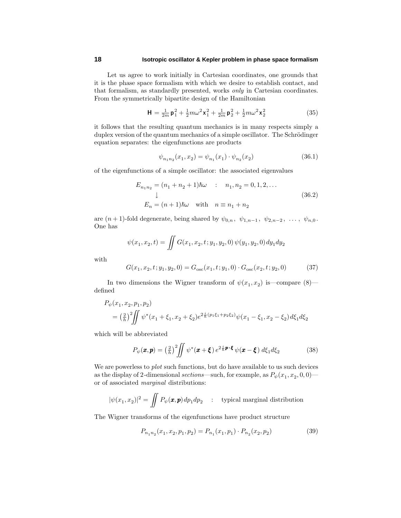#### **18 Isotropic oscillator & Kepler problem in phase space formalism**

Let us agree to work initially in Cartesian coordinates, one grounds that it is the phase space formalism with which we desire to establish contact, and that formalism, as standardly presented, works only in Cartesian coordinates. From the symmetrically bipartite design of the Hamiltonian

$$
\mathbf{H} = \frac{1}{2m} \mathbf{p}_1^2 + \frac{1}{2} m \omega^2 \mathbf{x}_1^2 + \frac{1}{2m} \mathbf{p}_2^2 + \frac{1}{2} m \omega^2 \mathbf{x}_2^2 \tag{35}
$$

it follows that the resulting quantum mechanics is in many respects simply a duplex version of the quantum mechanics of a simple oscillator. The Schrödinger equation separates: the eigenfunctions are products

$$
\psi_{n_1 n_2}(x_1, x_2) = \psi_{n_1}(x_1) \cdot \psi_{n_2}(x_2) \tag{36.1}
$$

of the eigenfunctions of a simple oscillator: the associated eigenvalues

$$
E_{n_1 n_2} = (n_1 + n_2 + 1)\hbar\omega \quad : \quad n_1, n_2 = 0, 1, 2, \dots
$$
  
\n
$$
\downarrow
$$
  
\n
$$
E_n = (n+1)\hbar\omega \quad \text{with} \quad n \equiv n_1 + n_2
$$
 (36.2)

are  $(n+1)$ -fold degenerate, being shared by  $\psi_{0,n}$ ,  $\psi_{1,n-1}$ ,  $\psi_{2,n-2}$ , ...,  $\psi_{n,0}$ . One has

$$
\psi(x_1, x_2, t) = \iint G(x_1, x_2, t; y_1, y_2, 0) \psi(y_1, y_2, 0) dy_1 dy_2
$$

with

$$
G(x_1, x_2, t; y_1, y_2, 0) = G_{\text{osc}}(x_1, t; y_1, 0) \cdot G_{\text{osc}}(x_2, t; y_2, 0)
$$
(37)

In two dimensions the Wigner transform of  $\psi(x_1, x_2)$  is—compare (8) defined

$$
P_{\psi}(x_1, x_2, p_1, p_2)
$$
  
=  $\left(\frac{2}{h}\right)^2 \iint \psi^*(x_1 + \xi_1, x_2 + \xi_2) e^{2\frac{i}{h}(p_1\xi_1 + p_2\xi_2)} \psi(x_1 - \xi_1, x_2 - \xi_2) d\xi_1 d\xi_2$ 

which will be abbreviated

$$
P_{\psi}(\boldsymbol{x}, \boldsymbol{p}) = \left(\frac{2}{h}\right)^2 \iint \psi^*(\boldsymbol{x} + \boldsymbol{\xi}) e^{2\frac{i}{h}\boldsymbol{p}\cdot\boldsymbol{\xi}} \psi(\boldsymbol{x} - \boldsymbol{\xi}) d\xi_1 d\xi_2 \tag{38}
$$

We are powerless to *plot* such functions, but do have available to us such devices as the display of 2-dimensional sections—such, for example, as  $P_{\psi}(x_1, x_2, 0, 0)$  or of associated marginal distributions:

$$
|\psi(x_1, x_2)|^2 = \iint P_{\psi}(\mathbf{x}, \mathbf{p}) dp_1 dp_2 \quad : \quad \text{typical marginal distribution}
$$

The Wigner transforms of the eigenfunctions have product structure

$$
P_{n_1 n_2}(x_1, x_2, p_1, p_2) = P_{n_1}(x_1, p_1) \cdot P_{n_2}(x_2, p_2)
$$
\n(39)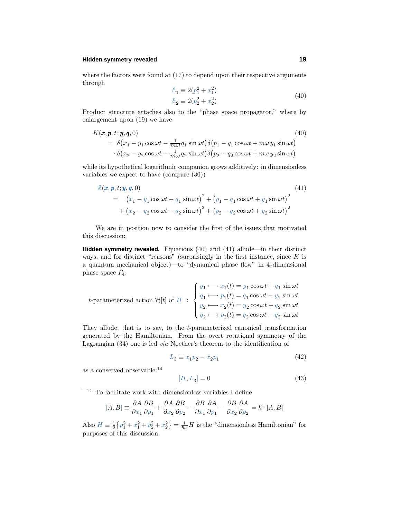#### **Hidden symmetry revealed 19**

where the factors were found at  $(17)$  to depend upon their respective arguments through

$$
\begin{aligned} \n\mathcal{E}_1 &\equiv 2(p_1^2 + x_1^2) \\ \n\mathcal{E}_2 &\equiv 2(p_2^2 + x_2^2) \n\end{aligned} \tag{40}
$$

Product structure attaches also to the "phase space propagator," where by enlargement upon (19) we have

$$
K(\boldsymbol{x}, \boldsymbol{p}, t; \boldsymbol{y}, \boldsymbol{q}, 0) \tag{40}
$$
  
=  $\delta(x_1 - y_1 \cos \omega t - \frac{1}{m\omega} q_1 \sin \omega t) \delta(p_1 - q_1 \cos \omega t + m\omega y_1 \sin \omega t)$   
 $\cdot \delta(x_2 - y_2 \cos \omega t - \frac{1}{m\omega} q_2 \sin \omega t) \delta(p_2 - q_2 \cos \omega t + m\omega y_2 \sin \omega t)$ 

while its hypothetical logarithmic companion grows additively: in dimensionless variables we expect to have (compare (30))

$$
8(x, p, t; y, q, 0)
$$
\n
$$
= (x_1 - y_1 \cos \omega t - q_1 \sin \omega t)^2 + (p_1 - q_1 \cos \omega t + y_1 \sin \omega t)^2 + (x_2 - y_2 \cos \omega t - q_2 \sin \omega t)^2 + (p_2 - q_2 \cos \omega t + y_2 \sin \omega t)^2
$$
\n(41)

We are in position now to consider the first of the issues that motivated this discussion:

**Hidden symmetry revealed.** Equations (40) and (41) allude—in their distinct ways, and for distinct "reasons" (surprisingly in the first instance, since *K* is a quantum mechanical object)—to "dynamical phase flow" in 4-dimensional phase space *Γ*4:

$$
t\text{-parameterized action }\mathcal{H}[t] \text{ of } H \text{ : } \begin{cases} y_1 \longmapsto x_1(t) = y_1 \cos \omega t + q_1 \sin \omega t \\ q_1 \longmapsto p_1(t) = q_1 \cos \omega t - y_1 \sin \omega t \\ y_2 \longmapsto x_2(t) = y_2 \cos \omega t + q_2 \sin \omega t \\ q_2 \longmapsto p_2(t) = q_2 \cos \omega t - y_2 \sin \omega t \end{cases}
$$

They allude, that is to say, to the *t*-parameterized canonical transformation generated by the Hamiltonian. From the overt rotational symmetry of the Lagrangian (34) one is led via Noether's theorem to the identification of

$$
L_3 \equiv x_1 p_2 - x_2 p_1 \tag{42}
$$

as a conserved observable:<sup>14</sup>

$$
[H, L_3] = 0 \tag{43}
$$

 $^\mathrm{14}$  To facilitate work with dimensionless variables I define

$$
[A, B] \equiv \frac{\partial A}{\partial x_1} \frac{\partial B}{\partial p_1} + \frac{\partial A}{\partial x_2} \frac{\partial B}{\partial p_2} - \frac{\partial B}{\partial x_1} \frac{\partial A}{\partial p_1} - \frac{\partial B}{\partial x_2} \frac{\partial A}{\partial p_2} = \hbar \cdot [A, B]
$$

Also  $H \equiv \frac{1}{2} \{p_1^2 + x_1^2 + p_2^2 + x_2^2\} = \frac{1}{\hbar \omega} H$  is the "dimensionless Hamiltonian" for purposes of this discussion.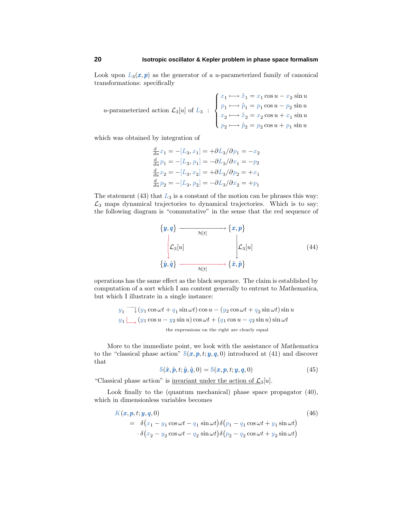#### **20 Isotropic oscillator & Kepler problem in phase space formalism**

Look upon  $L_3(x, p)$  as the generator of a *u*-parameterized family of canonical transformations: specifically

$$
u\text{-parameterized action }\mathcal{L}_3[u] \text{ of } L_3 \; : \; \begin{cases} \; x_1 \longmapsto \hat{x}_1 = x_1 \cos u - x_2 \sin u \\ \; p_1 \longmapsto \hat{p}_1 = p_1 \cos u - p_2 \sin u \\ \; x_2 \longmapsto \hat{x}_2 = x_2 \cos u + x_1 \sin u \\ \; p_2 \longmapsto \hat{p}_2 = p_2 \cos u + p_1 \sin u \end{cases}
$$

which was obtained by integration of

$$
\frac{d}{du}x_1 = -[L_3, x_1] = +\frac{\partial L_3}{\partial p_1} = -x_2
$$

$$
\frac{d}{du}p_1 = -[L_3, p_1] = -\frac{\partial L_3}{\partial x_1} = -p_2
$$

$$
\frac{d}{du}x_2 = -[L_3, x_2] = +\frac{\partial L_3}{\partial p_2} = +x_1
$$

$$
\frac{d}{du}p_2 = -[L_3, p_2] = -\frac{\partial L_3}{\partial x_2} = +p_1
$$

The statement  $(43)$  that  $L_3$  is a constant of the motion can be phrases this way:  $\mathcal{L}_3$  maps dynamical trajectories to dynamical trajectories. Which is to say: the following diagram is "commutative" in the sense that the red sequence of



operations has the same effect as the black sequence. The claim is established by computation of a sort which I am content generally to entrust to *Mathematica*, but which I illustrate in a single instance:

$$
y_1 \longrightarrow (y_1 \cos \omega t + q_1 \sin \omega t) \cos u - (y_2 \cos \omega t + q_2 \sin \omega t) \sin u
$$
  

$$
y_1 \longrightarrow (y_1 \cos u - y_2 \sin u) \cos \omega t + (q_1 \cos u - q_2 \sin u) \sin \omega t
$$
  
the expressions on the right are clearly equal

More to the immediate point, we look with the assistance of *Mathematica* to the "classical phase action"  $S(x, p, t, y, q, 0)$  introduced at (41) and discover that

$$
\mathcal{S}(\hat{\boldsymbol{x}}, \hat{\boldsymbol{p}}, t; \hat{\boldsymbol{y}}, \hat{\boldsymbol{q}}, 0) = \mathcal{S}(\boldsymbol{x}, \boldsymbol{p}, t; \boldsymbol{y}, \boldsymbol{q}, 0) \tag{45}
$$

"Classical phase action" is <u>invariant under the action of  $\mathcal{L}_3[u]$ </u>.

Look finally to the (quantum mechanical) phase space propagator  $(40)$ , which in dimensionless variables becomes

$$
K(\boldsymbol{x}, \boldsymbol{p}, t; \boldsymbol{y}, \boldsymbol{q}, 0) \tag{46}
$$
  
=  $\delta(x_1 - y_1 \cos \omega t - q_1 \sin \omega t) \delta(p_1 - q_1 \cos \omega t + y_1 \sin \omega t)$   
 $\cdot \delta(x_2 - y_2 \cos \omega t - q_2 \sin \omega t) \delta(p_2 - q_2 \cos \omega t + y_2 \sin \omega t)$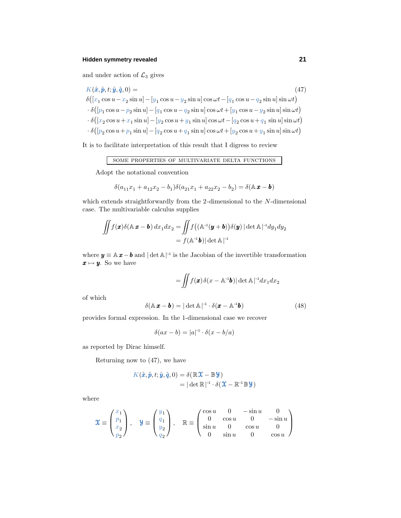## **Hidden symmetry revealed 21**

and under action of  $\mathcal{L}_3$  gives

$$
K(\hat{x}, \hat{p}, t; \hat{y}, \hat{q}, 0) =
$$
\n
$$
\delta([x_1 \cos u - x_2 \sin u] - [y_1 \cos u - y_2 \sin u] \cos \omega t - [q_1 \cos u - q_2 \sin u] \sin \omega t)
$$
\n
$$
\cdot \delta([p_1 \cos u - p_2 \sin u] - [q_1 \cos u - q_2 \sin u] \cos \omega t + [y_1 \cos u - y_2 \sin u] \sin \omega t)
$$
\n
$$
\cdot \delta([x_2 \cos u + x_1 \sin u] - [y_2 \cos u + y_1 \sin u] \cos \omega t - [q_2 \cos u + q_1 \sin u] \sin \omega t)
$$
\n
$$
\cdot \delta([p_2 \cos u + p_1 \sin u] - [q_2 \cos u + q_1 \sin u] \cos \omega t + [y_2 \cos u + y_1 \sin u] \sin \omega t)
$$

It is to facilitate interpretation of this result that I digress to review

### some properties of multivariate delta functions

Adopt the notational convention

$$
\delta(a_{11}x_1+a_{12}x_2-b_1)\delta(a_{21}x_1+a_{22}x_2-b_2)=\delta({\mathbb A}\,\pmb{x}-\pmb{b})
$$

which extends straightforwardly from the 2-dimensional to the *N*-dimensional case. The multivariable calculus supplies

$$
\iint f(\mathbf{x})\delta(\mathbb{A}\mathbf{x}-\mathbf{b}) dx_1 dx_2 = \iint f((\mathbb{A}^{-1}(\mathbf{y}+\mathbf{b}))\delta(\mathbf{y}) |\det \mathbb{A}|^{-1} dy_1 dy_2
$$

$$
= f(\mathbb{A}^{-1}\mathbf{b}) |\det \mathbb{A}|^{-1}
$$

where  $y \equiv \mathbb{A} x - b$  and  $|\det \mathbb{A}|^{-1}$  is the Jacobian of the invertible transformation  $x \mapsto y$ . So we have

$$
= \iint f(\pmb{x})\,\delta(x-\mathbb{A}^{\text{-}1}\pmb{b})|\det\mathbb{A}\!\mid^{\text{-}1}\!\!dx_1dx_2
$$

of which

$$
\delta(\mathbb{A}\,\boldsymbol{x}-\boldsymbol{b})=|\det \mathbb{A}|^{-1}\cdot \delta(\boldsymbol{x}-\mathbb{A}^{-1}\boldsymbol{b})\tag{48}
$$

provides formal expression. In the 1-dimensional case we recover

$$
\delta(ax - b) = |a|^{-1} \cdot \delta(x - b/a)
$$

as reported by Dirac himself.

Returning now to (47), we have

$$
K(\hat{x}, \hat{p}, t; \hat{y}, \hat{q}, 0) = \delta(\mathbb{R}\mathbf{X} - \mathbb{B}\mathbf{Y})
$$
  
= |\det \mathbb{R}|^{-1} \cdot \delta(\mathbf{X} - \mathbb{R}^{-1}\mathbb{B}\mathbf{Y})

where

$$
\mathfrak{X} \equiv \begin{pmatrix} x_1 \\ p_1 \\ x_2 \\ p_2 \end{pmatrix}, \quad \mathfrak{Y} \equiv \begin{pmatrix} y_1 \\ q_1 \\ y_2 \\ q_2 \end{pmatrix}, \quad \mathbb{R} \equiv \begin{pmatrix} \cos u & 0 & -\sin u & 0 \\ 0 & \cos u & 0 & -\sin u \\ \sin u & 0 & \cos u & 0 \\ 0 & \sin u & 0 & \cos u \end{pmatrix}
$$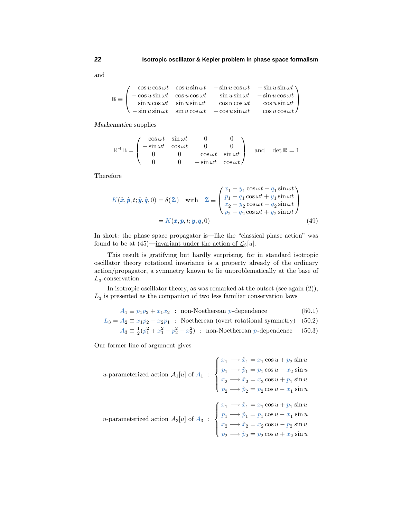$\mathbb{B} \equiv$  $\sqrt{ }$  $\overline{ }$  $\cos u \cos \omega t$   $\cos u \sin \omega t$   $-\sin u \cos \omega t$   $-\sin u \sin \omega t$  $-\cos u \sin \omega t$   $\cos u \cos \omega t$   $\sin u \sin \omega t$   $-\sin u \cos \omega t$  $\sin u \cos \omega t$   $\sin u \sin \omega t$   $\cos u \cos \omega t$   $\cos u \sin \omega t$  $-\sin u \sin \omega t$   $\sin u \cos \omega t$   $-\cos u \sin \omega t$   $\cos u \cos \omega t$  $\setminus$  $\Big\}$ 

*Mathematica* supplies

$$
\mathbb{R}^{-1}\mathbb{B} = \begin{pmatrix} \cos \omega t & \sin \omega t & 0 & 0 \\ -\sin \omega t & \cos \omega t & 0 & 0 \\ 0 & 0 & \cos \omega t & \sin \omega t \\ 0 & 0 & -\sin \omega t & \cos \omega t \end{pmatrix} \text{ and } \det \mathbb{R} = 1
$$

Therefore

$$
K(\hat{x}, \hat{p}, t; \hat{y}, \hat{q}, 0) = \delta(\mathbf{\Sigma}) \quad \text{with} \quad \mathbf{\Sigma} \equiv \begin{pmatrix} x_1 - y_1 \cos \omega t - q_1 \sin \omega t \\ p_1 - q_1 \cos \omega t + y_1 \sin \omega t \\ x_2 - y_2 \cos \omega t - q_2 \sin \omega t \\ p_2 - q_2 \cos \omega t + y_2 \sin \omega t \end{pmatrix}
$$
  
=  $K(\mathbf{x}, \mathbf{p}, t; \mathbf{y}, \mathbf{q}, 0)$  (49)

In short: the phase space propagator is—like the "classical phase action" was found to be at  $(45)$ —<u>invariant under the action of  $\mathcal{L}_3[u]$ </u>.

This result is gratifying but hardly surprising, for in standard isotropic oscillator theory rotational invariance is a property already of the ordinary action/propagator, a symmetry known to lie unproblematically at the base of *L*3-conservation.

In isotropic oscillator theory, as was remarked at the outset (see again (2)),  $L<sub>3</sub>$  is presented as the companion of two less familiar conservation laws

$$
A_1 \equiv p_1 p_2 + x_1 x_2 \quad \text{non-Noetherean } p\text{-dependence} \tag{50.1}
$$

$$
L_3 = A_2 \equiv x_1 p_2 - x_2 p_1
$$
: Noetherean (over rotational symmetry) (50.2)

$$
A_3 \equiv \frac{1}{2}(p_1^2 + x_1^2 - p_2^2 - x_2^2) \; : \; \text{non-Noetherean } p \text{-dependence} \tag{50.3}
$$

Our former line of argument gives

$$
u\text{-parameterized action } \mathcal{A}_1[u] \text{ of } A_1 : \begin{cases} x_1 \longmapsto \hat{x}_1 = x_1 \cos u + p_2 \sin u \\ p_1 \longmapsto \hat{p}_1 = p_1 \cos u - x_2 \sin u \\ x_2 \longmapsto \hat{x}_2 = x_2 \cos u + p_1 \sin u \\ p_2 \longmapsto \hat{p}_2 = p_2 \cos u - x_1 \sin u \end{cases}
$$
  

$$
u\text{-parameterized action } \mathcal{A}_3[u] \text{ of } A_3 : \begin{cases} x_1 \longmapsto \hat{x}_1 = x_1 \cos u + p_1 \sin u \\ p_1 \longmapsto \hat{p}_1 = p_1 \cos u - x_1 \sin u \\ x_2 \longmapsto \hat{p}_2 = x_2 \cos u - p_2 \sin u \\ p_2 \longmapsto \hat{p}_2 = p_2 \cos u + x_2 \sin u \end{cases}
$$

and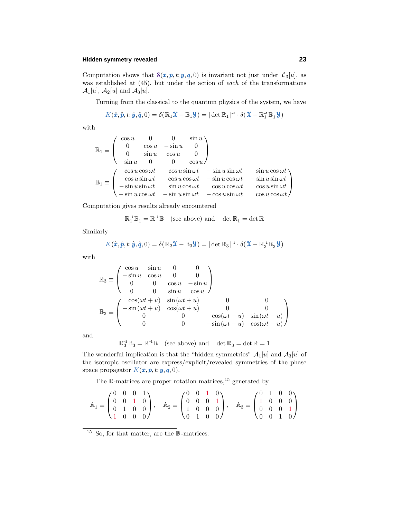#### **Hidden symmetry revealed 23**

Computation shows that  $S(x, p, t; y, q, 0)$  is invariant not just under  $\mathcal{L}_3[u]$ , as was established at  $(45)$ , but under the action of each of the transformations  $\mathcal{A}_1[u], \mathcal{A}_2[u]$  and  $\mathcal{A}_3[u]$ .

Turning from the classical to the quantum physics of the system, we have

$$
K(\hat{\boldsymbol{x}}, \hat{\boldsymbol{p}}, t; \hat{\boldsymbol{y}}, \hat{\boldsymbol{q}}, 0) = \delta(\mathbb{R}_1 \mathfrak{X} - \mathbb{B}_1 \mathfrak{Y}) = |\det \mathbb{R}_1|^{-1} \cdot \delta(\mathfrak{X} - \mathbb{R}_1^{-1} \mathbb{B}_1 \mathfrak{Y})
$$

with

$$
\mathbb{R}_1 \equiv \begin{pmatrix}\n\cos u & 0 & 0 & \sin u \\
0 & \cos u & -\sin u & 0 \\
0 & \sin u & \cos u & 0 \\
-\sin u & 0 & 0 & \cos u\n\end{pmatrix}
$$
  
\n
$$
\mathbb{B}_1 \equiv \begin{pmatrix}\n\cos u \cos \omega t & \cos u \sin \omega t & -\sin u \sin \omega t & \sin u \cos \omega t \\
-\cos u \sin \omega t & \cos u \cos \omega t & -\sin u \cos \omega t & -\sin u \sin \omega t \\
-\sin u \cos \omega t & \sin u \cos \omega t & \cos u \cos \omega t & \cos u \cos \omega t \\
-\sin u \cos \omega t & -\sin u \sin \omega t & -\cos u \sin \omega t & \cos u \cos \omega t\n\end{pmatrix}
$$

Computation gives results already encountered

$$
\mathbb{R}_1^{\text{-}1}\,\mathbb{B}_1=\mathbb{R}^{\text{-}1}\,\mathbb{B}\quad \text{(see above) and}\quad \det\mathbb{R}_1=\det\mathbb{R}
$$

Similarly

$$
K(\hat{x}, \hat{p}, t; \hat{y}, \hat{q}, 0) = \delta(\mathbb{R}_3 \mathfrak{X} - \mathbb{B}_3 \mathcal{Y}) = |\det \mathbb{R}_3|^{-1} \cdot \delta(\mathfrak{X} - \mathbb{R}_3^{-1} \mathbb{B}_3 \mathcal{Y})
$$

with

$$
\mathbb{R}_3 \equiv \begin{pmatrix}\n\cos u & \sin u & 0 & 0 \\
-\sin u & \cos u & 0 & 0 \\
0 & 0 & \cos u & -\sin u \\
0 & 0 & \sin u & \cos u\n\end{pmatrix}
$$
  
\n
$$
\mathbb{B}_3 \equiv \begin{pmatrix}\n\cos(\omega t + u) & \sin(\omega t + u) & 0 & 0 \\
-\sin(\omega t + u) & \cos(\omega t + u) & 0 & 0 \\
0 & 0 & \cos(\omega t - u) & \sin(\omega t - u) \\
0 & 0 & -\sin(\omega t - u) & \cos(\omega t - u)\n\end{pmatrix}
$$

and

$$
\mathbb{R}^{\scriptscriptstyle -1}_3 \mathbb{B}_3 = \mathbb{R}^{\scriptscriptstyle -1} \mathbb{B} \quad \text{(see above) and} \quad \det \mathbb{R}_3 = \det \mathbb{R} = 1
$$

The wonderful implication is that the "hidden symmetries"  $A_1[u]$  and  $A_3[u]$  of the isotropic oscillator are express/explicit/revealed symmetries of the phase space propagator  $K(\boldsymbol{x}, \boldsymbol{p}, t; \boldsymbol{y}, \boldsymbol{q}, 0)$ .

The R-matrices are proper rotation matrices,<sup>15</sup> generated by

$$
\mathbb{A}_1 \equiv \begin{pmatrix} 0 & 0 & 0 & 1 \\ 0 & 0 & 1 & 0 \\ 0 & 1 & 0 & 0 \\ 1 & 0 & 0 & 0 \end{pmatrix}, \quad \mathbb{A}_2 \equiv \begin{pmatrix} 0 & 0 & 1 & 0 \\ 0 & 0 & 0 & 1 \\ 1 & 0 & 0 & 0 \\ 0 & 1 & 0 & 0 \end{pmatrix}, \quad \mathbb{A}_3 \equiv \begin{pmatrix} 0 & 1 & 0 & 0 \\ 1 & 0 & 0 & 0 \\ 0 & 0 & 0 & 1 \\ 0 & 0 & 1 & 0 \end{pmatrix}
$$

<sup>15</sup> So, for that matter, are the  $\mathbb{B}$ -matrices.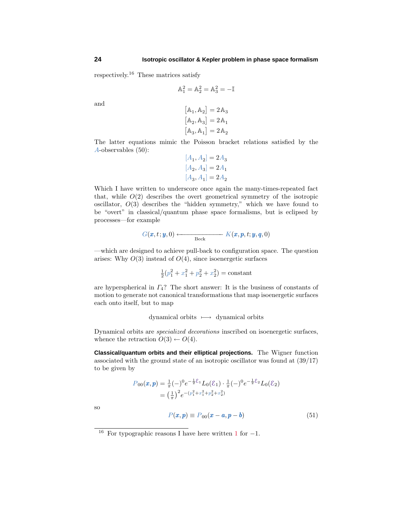respectively.<sup>16</sup> These matrices satisfy

$$
\mathbb{A}_1^2 = \mathbb{A}_2^2 = \mathbb{A}_3^2 = -\mathbb{I}
$$

and

$$
\begin{aligned} \left[\mathbb{A}_1, \mathbb{A}_2\right] &= 2\,\mathbb{A}_3\\ \left[\mathbb{A}_2, \mathbb{A}_3\right] &= 2\,\mathbb{A}_1\\ \left[\mathbb{A}_3, \mathbb{A}_1\right] &= 2\,\mathbb{A}_2 \end{aligned}
$$

The latter equations mimic the Poisson bracket relations satisfied by the *A*-observables (50):

$$
[A_1, A_2] = 2A_3
$$
  
\n
$$
[A_2, A_3] = 2A_1
$$
  
\n
$$
[A_3, A_1] = 2A_2
$$

Which I have written to underscore once again the many-times-repeated fact that, while  $O(2)$  describes the overt geometrical symmetry of the isotropic oscillator, *O*(3) describes the "hidden symmetry," which we have found to be "overt" in classical/quantum phase space formalisms, but is eclipsed by processes—for example

$$
G(\boldsymbol{x},t;\boldsymbol{y},0)\longleftarrow \text{Beck} K(\boldsymbol{x},\boldsymbol{p},t;\boldsymbol{y},\boldsymbol{q},0)
$$

—which are designed to achieve pull-back to configuration space. The question arises: Why  $O(3)$  instead of  $O(4)$ , since isoenergetic surfaces

 $\frac{1}{2}(p_1^2 + x_1^2 + p_2^2 + x_2^2) = \text{constant}$ 

are hyperspherical in *Γ*4? The short answer: It is the business of constants of motion to generate not canonical transformations that map isoenergetic surfaces each onto itself, but to map

dynamical orbits −→ dynamical orbits

Dynamical orbits are specialized decorations inscribed on isoenergetic surfaces, whence the retraction  $O(3) \leftarrow O(4)$ .

**Classical/quantum orbits and their elliptical projections.** The Wigner function associated with the ground state of an isotropic oscillator was found at (39/17) to be given by

$$
P_{00}(\boldsymbol{x}, \boldsymbol{p}) = \frac{1}{\pi} (-)^0 e^{-\frac{1}{2} \mathcal{E}_1} L_0(\mathcal{E}_1) \cdot \frac{1}{\pi} (-)^0 e^{-\frac{1}{2} \mathcal{E}_2} L_0(\mathcal{E}_2)
$$
  
=  $\left(\frac{1}{\pi}\right)^2 e^{-(p_1^2 + x_1^2 + p_2^2 + x_2^2)}$ 

so

$$
P(\boldsymbol{x}, \boldsymbol{p}) \equiv P_{00}(\boldsymbol{x} - \boldsymbol{a}, \boldsymbol{p} - \boldsymbol{b}) \tag{51}
$$

<sup>&</sup>lt;sup>16</sup> For typographic reasons I have here written 1 for  $-1$ .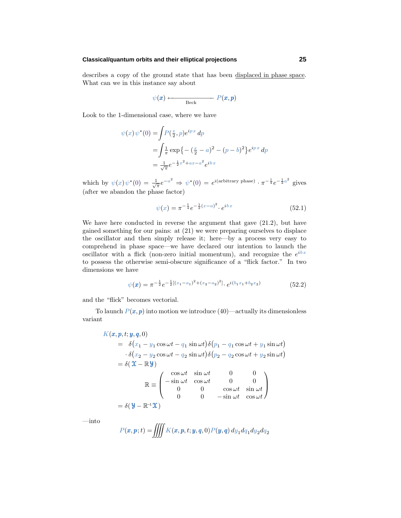#### **Classical/quantum orbits and their elliptical projections 25**

describes a copy of the ground state that has been displaced in phase space. What can we in this instance say about

$$
\psi(\pmb{x}) \longleftarrow \qquad \qquad P(\pmb{x}, \pmb{p})
$$

Look to the 1-dimensional case, where we have

$$
\psi(x)\psi^*(0) = \int P(\frac{x}{2}, p)e^{ipx} dp
$$
  
=  $\int \frac{1}{\pi} \exp{\{- (\frac{x}{2} - a)^2 - (p - b)^2\}} e^{ipx} dp$   
=  $\frac{1}{\sqrt{\pi}} e^{-\frac{1}{2}x^2 + ax - a^2} e^{ibx}$ 

which by  $\psi(x)\psi^*(0) = \frac{1}{\sqrt{\pi}}e^{-a^2} \Rightarrow \psi^*(0) = e^{i(\text{arbitrary phase})}\cdot \pi^{-\frac{1}{4}}e^{-\frac{1}{2}a^2}$  gives (after we abandon the phase factor)

$$
\psi(x) = \pi^{-\frac{1}{4}} e^{-\frac{1}{2}(x-a)^2} \cdot e^{ibx} \tag{52.1}
$$

We have here conducted in reverse the argument that gave (21.2), but have gained something for our pains: at (21) we were preparing ourselves to displace the oscillator and then simply release it; here—by a process very easy to comprehend in phase space—we have declared our intention to launch the oscillator with a flick (non-zero initial momentum), and recognize the  $e^{ibx}$ to possess the otherwise semi-obscure significance of a "flick factor." In two dimensions we have

$$
\psi(\mathbf{x}) = \pi^{-\frac{1}{2}} e^{-\frac{1}{2}[(x_1 - a_1)^2 + (x_2 - a_2)^2]} \cdot e^{i(b_1 x_1 + b_2 x_2)} \tag{52.2}
$$

and the "flick" becomes vectorial.

To launch  $P(x, p)$  into motion we introduce (40)—actually its dimensionless variant

$$
K(\boldsymbol{x}, \boldsymbol{p}, t; \boldsymbol{y}, \boldsymbol{q}, 0)
$$
  
=  $\delta(x_1 - y_1 \cos \omega t - q_1 \sin \omega t) \delta(p_1 - q_1 \cos \omega t + y_1 \sin \omega t)$   
 $\cdot \delta(x_2 - y_2 \cos \omega t - q_2 \sin \omega t) \delta(p_2 - q_2 \cos \omega t + y_2 \sin \omega t)$   
=  $\delta(\mathbf{X} - \mathbf{R}\mathbf{Y})$   

$$
\mathbf{R} \equiv \begin{pmatrix} \cos \omega t & \sin \omega t & 0 & 0 \\ -\sin \omega t & \cos \omega t & 0 & 0 \\ 0 & 0 & \cos \omega t & \sin \omega t \\ 0 & 0 & -\sin \omega t & \cos \omega t \end{pmatrix}
$$
  
=  $\delta(\mathbf{Y} - \mathbf{R}^{-1}\mathbf{X})$ 

—into

$$
P(\boldsymbol{x},\boldsymbol{p};t)=\iiint K(\boldsymbol{x},\boldsymbol{p},t;\boldsymbol{y},\boldsymbol{q},0)P(\boldsymbol{y},\boldsymbol{q})\,dy_1dq_1dy_2dq_2
$$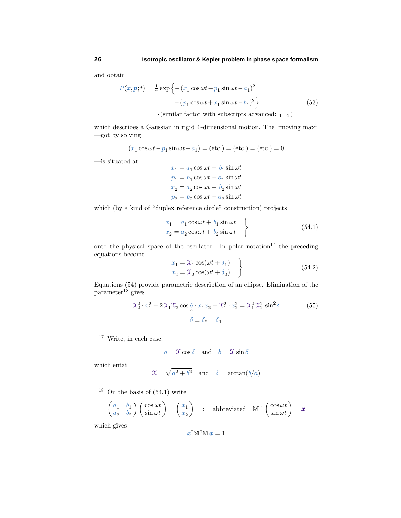and obtain

$$
P(\mathbf{x}, \mathbf{p}; t) = \frac{1}{\pi} \exp \left\{ - (x_1 \cos \omega t - p_1 \sin \omega t - a_1)^2 - (p_1 \cos \omega t + x_1 \sin \omega t - b_1)^2 \right\}
$$
(53)

 $\cdot$ (similar factor with subscripts advanced:  $_{1\rightarrow 2}$ )

which describes a Gaussian in rigid 4-dimensional motion. The "moving max" —got by solving

$$
(x_1 \cos \omega t - p_1 \sin \omega t - a_1) = (etc.) = (etc.) = (etc.) = 0
$$

—is situated at

 $x_1 = a_1 \cos \omega t + b_1 \sin \omega t$  $p_1 = b_1 \cos \omega t - a_1 \sin \omega t$  $x_2 = a_2 \cos \omega t + b_2 \sin \omega t$  $p_2 = b_2 \cos \omega t - a_2 \sin \omega t$ 

which (by a kind of "duplex reference circle" construction) projects

$$
x_1 = a_1 \cos \omega t + b_1 \sin \omega t
$$
  
\n
$$
x_2 = a_2 \cos \omega t + b_2 \sin \omega t
$$
 (54.1)

onto the physical space of the oscillator. In polar notation $17$  the preceding equations become  $\overline{ }$ 

$$
x_1 = \mathcal{X}_1 \cos(\omega t + \delta_1)
$$
  
\n
$$
x_2 = \mathcal{X}_2 \cos(\omega t + \delta_2)
$$
\n(54.2)

Equations (54) provide parametric description of an ellipse. Elimination of the  $parameter<sup>18</sup>$  gives

$$
\mathcal{X}_2^2 \cdot x_1^2 - 2\mathcal{X}_1 \mathcal{X}_2 \cos \delta \cdot x_1 x_2 + \mathcal{X}_1^2 \cdot x_2^2 = \mathcal{X}_1^2 \mathcal{X}_2^2 \sin^2 \delta
$$
\n
$$
\delta \equiv \delta_2 - \delta_1
$$
\n(55)

 $17$  Write, in each case,

$$
a = \mathfrak{X}\cos\delta
$$
 and  $b = \mathfrak{X}\sin\delta$ 

which entail

$$
\mathfrak{X} = \sqrt{a^2 + b^2} \quad \text{and} \quad \delta = \arctan(b/a)
$$

 $18$  On the basis of  $(54.1)$  write

$$
\begin{pmatrix} a_1 & b_1 \ a_2 & b_2 \end{pmatrix} \begin{pmatrix} \cos \omega t \\ \sin \omega t \end{pmatrix} = \begin{pmatrix} x_1 \\ x_2 \end{pmatrix} : \text{ abbreviated } \mathbb{M}^{-1} \begin{pmatrix} \cos \omega t \\ \sin \omega t \end{pmatrix} = \mathbf{x}
$$

which gives

$$
\pmb{x}^{\mathsf{T}}\mathbb{M}^{\mathsf{T}}\mathbb{M}\,\pmb{x}=1
$$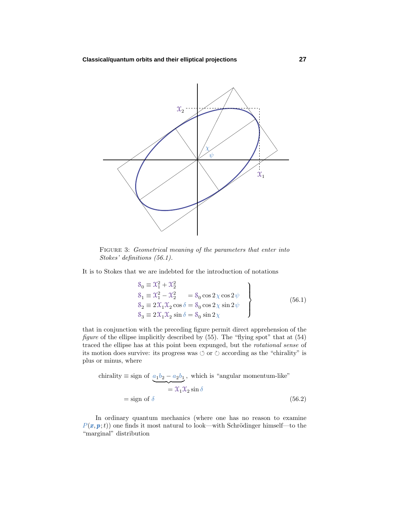

FIGURE 3: Geometrical meaning of the parameters that enter into Stokes' definitions (56.1).

It is to Stokes that we are indebted for the introduction of notations

$$
\begin{aligned}\n\mathcal{S}_0 &\equiv \mathcal{X}_1^2 + \mathcal{X}_2^2 \\
\mathcal{S}_1 &\equiv \mathcal{X}_1^2 - \mathcal{X}_2^2 = \mathcal{S}_0 \cos 2\chi \cos 2\psi \\
\mathcal{S}_2 &\equiv 2\mathcal{X}_1 \mathcal{X}_2 \cos \delta = \mathcal{S}_0 \cos 2\chi \sin 2\psi \\
\mathcal{S}_3 &\equiv 2\mathcal{X}_1 \mathcal{X}_2 \sin \delta = \mathcal{S}_0 \sin 2\chi\n\end{aligned}
$$
\n(56.1)

that in conjunction with the preceding figure permit direct apprehension of the figure of the ellipse implicitly described by  $(55)$ . The "flying spot" that at  $(54)$ traced the ellipse has at this point been expunged, but the rotational sense of its motion does survive: its progress was  $\circlearrowleft$  or  $\circlearrowright$  according as the "chirality" is plus or minus, where

chirality 
$$
\equiv
$$
 sign of  $\underbrace{a_1b_2 - a_2b_1}_{\equiv 2\pi 1} \times \text{ which is "angular momentum-like"}$   
 $= \mathcal{X}_1 \mathcal{X}_2 \sin \delta$   
 $=$  sign of  $\delta$  (56.2)

In ordinary quantum mechanics (where one has no reason to examine  $P(x, p; t)$  one finds it most natural to look—with Schrödinger himself—to the "marginal" distribution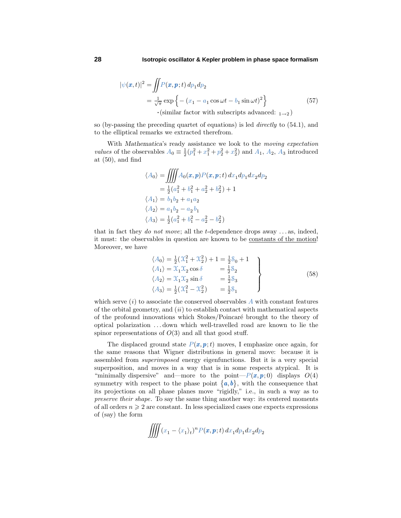$$
|\psi(\boldsymbol{x},t)|^2 = \iint P(\boldsymbol{x},\boldsymbol{p};t) \, dp_1 dp_2
$$
  
=  $\frac{1}{\sqrt{\pi}} \exp \left\{ - (x_1 - a_1 \cos \omega t - b_1 \sin \omega t)^2 \right\}$  (57)  
·(similar factor with subscripts advanced: <sub>1→2</sub>)

so (by-passing the preceding quartet of equations) is led directly to (54.1), and to the elliptical remarks we extracted therefrom.

With *Mathematica*'s ready assistance we look to the moving expectation *values* of the observables  $A_0 = \frac{1}{2}(p_1^2 + x_1^2 + p_2^2 + x_2^2)$  and  $A_1$ ,  $A_2$ ,  $A_3$  introduced at (50), and find

$$
\langle A_0 \rangle = \iiint A_0(\mathbf{x}, \mathbf{p}) P(\mathbf{x}, \mathbf{p}; t) dx_1 dp_1 dx_2 dp_2
$$
  
=  $\frac{1}{2} (a_1^2 + b_1^2 + a_2^2 + b_2^2) + 1$   
 $\langle A_1 \rangle = b_1 b_2 + a_1 a_2$   
 $\langle A_2 \rangle = a_1 b_2 - a_2 b_1$   
 $\langle A_3 \rangle = \frac{1}{2} (a_1^2 + b_1^2 - a_2^2 - b_2^2)$ 

that in fact they do not move; all the *t*-dependence drops away *...* as, indeed, it must: the observables in question are known to be constants of the motion! Moreover, we have

$$
\langle A_0 \rangle = \frac{1}{2} (\mathcal{X}_1^2 + \mathcal{X}_2^2) + 1 = \frac{1}{2} \mathcal{S}_0 + 1 \n\langle A_1 \rangle = \mathcal{X}_1 \mathcal{X}_2 \cos \delta = \frac{1}{2} \mathcal{S}_2 \n\langle A_2 \rangle = \mathcal{X}_1 \mathcal{X}_2 \sin \delta = \frac{1}{2} \mathcal{S}_3 \n\langle A_3 \rangle = \frac{1}{2} (\mathcal{X}_1^2 - \mathcal{X}_2^2) = \frac{1}{2} \mathcal{S}_1
$$
\n(58)

which serve  $(i)$  to associate the conserved observables  $A$  with constant features of the orbital geometry, and  $(ii)$  to establish contact with mathematical aspects of the profound innovations which Stokes/Poincar´e brought to the theory of optical polarization *...* down which well-travelled road are known to lie the spinor representations of  $O(3)$  and all that good stuff.

The displaced ground state  $P(x, p; t)$  moves, I emphasize once again, for the same reasons that Wigner distributions in general move: because it is assembled from superimposed energy eigenfunctions. But it is a very special superposition, and moves in a way that is in some respects atypical. It is "minimally dispersive" and—more to the point— $P(x, p; 0)$  displays  $O(4)$ symmetry with respect to the phase point  ${a, b}$ , with the consequence that its projections on all phase planes move "rigidly," i.e., in such a way as to preserve their shape. To say the same thing another way: its centered moments of all orders  $n \geqslant 2$  are constant. In less specialized cases one expects expressions of (say) the form

$$
\iiint (x_1 - \langle x_1 \rangle_t)^n P(\pmb{x}, \pmb{p}; t) dx_1 dp_1 dx_2 dp_2
$$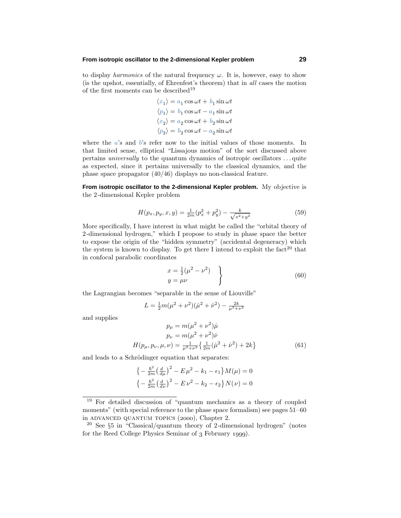#### **From isotropic oscillator to the 2-dimensional Kepler problem 29**

to display *harmonics* of the natural frequency  $\omega$ . It is, however, easy to show (is the upshot, essentially, of Ehrenfest's theorem) that in all cases the motion of the first moments can be described<sup>19</sup>

$$
\langle x_1 \rangle = a_1 \cos \omega t + b_1 \sin \omega t
$$
  

$$
\langle p_1 \rangle = b_1 \cos \omega t - a_1 \sin \omega t
$$
  

$$
\langle x_2 \rangle = a_2 \cos \omega t + b_2 \sin \omega t
$$
  

$$
\langle p_2 \rangle = b_2 \cos \omega t - a_2 \sin \omega t
$$

where the *a*'s and *b*'s refer now to the initial values of those moments. In that limited sense, elliptical "Lissajous motion" of the sort discussed above pertains universally to the quantum dynamics of isotropic oscillators *...* quite as expected, since it pertains universally to the classical dynamics, and the phase space propagator (40/46) displays no non-classical feature.

**From isotropic oscillator to the 2-dimensional Kepler problem.** My objective is the 2-dimensional Kepler problem

$$
H(p_x, p_y, x, y) = \frac{1}{2m}(p_x^2 + p_y^2) - \frac{k}{\sqrt{x^2 + y^2}}
$$
\n(59)

More specifically, I have interest in what might be called the "orbital theory of 2-dimensional hydrogen," which I propose to study in phase space the better to expose the origin of the "hidden symmetry" (accidental degeneracy) which the system is known to display. To get there I intend to exploit the fact<sup>20</sup> that in confocal parabolic coordinates

$$
\begin{aligned}\nx &= \frac{1}{2}(\mu^2 - \nu^2) \\
y &= \mu\nu\n\end{aligned}
$$
\n(60)

the Lagrangian becomes "separable in the sense of Liouville"

$$
L = \frac{1}{2}m(\mu^2 + \nu^2)(\dot{\mu}^2 + \dot{\nu}^2) - \frac{2k}{\mu^2 + \nu^2}
$$

and supplies

$$
p_{\mu} = m(\mu^2 + \nu^2)\dot{\mu}
$$
  
\n
$$
p_{\nu} = m(\mu^2 + \nu^2)\dot{\nu}
$$
  
\n
$$
H(p_{\mu}, p_{\nu}, \mu, \nu) = \frac{1}{\mu^2 + \nu^2} \left\{ \frac{1}{2m} (\dot{\mu}^2 + \dot{\nu}^2) + 2k \right\}
$$
 (61)

and leads to a Schrödinger equation that separates:

$$
\left\{-\frac{\hbar^2}{2m}\left(\frac{d}{d\mu}\right)^2 - E\,\mu^2 - k_1 - \epsilon_1\right\}M(\mu) = 0
$$
  

$$
\left\{-\frac{\hbar^2}{2m}\left(\frac{d}{d\nu}\right)^2 - E\,\nu^2 - k_2 - \epsilon_2\right\}N(\nu) = 0
$$

<sup>19</sup> For detailed discussion of "quantum mechanics as a theory of coupled moments" (with special reference to the phase space formalism) see pages  $51-60$ in ADVANCED QUANTUM TOPICS (2000), Chapter 2.

<sup>&</sup>lt;sup>20</sup> See  $\S5$  in "Classical/quantum theory of 2-dimensional hydrogen" (notes for the Reed College Physics Seminar of 3 February 1999).